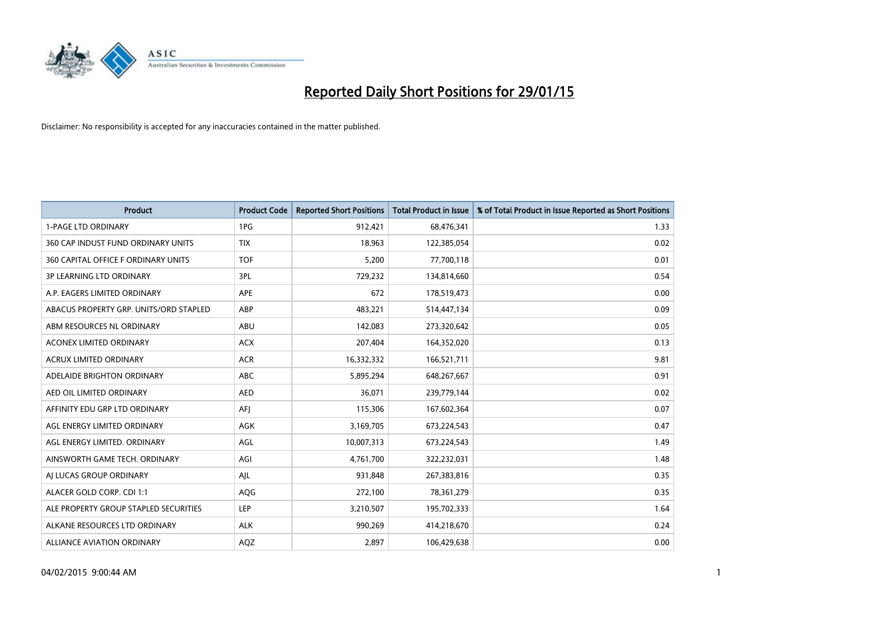

| <b>Product</b>                         | <b>Product Code</b> | <b>Reported Short Positions</b> | Total Product in Issue | % of Total Product in Issue Reported as Short Positions |
|----------------------------------------|---------------------|---------------------------------|------------------------|---------------------------------------------------------|
| <b>1-PAGE LTD ORDINARY</b>             | 1PG                 | 912,421                         | 68,476,341             | 1.33                                                    |
| 360 CAP INDUST FUND ORDINARY UNITS     | <b>TIX</b>          | 18,963                          | 122,385,054            | 0.02                                                    |
| 360 CAPITAL OFFICE F ORDINARY UNITS    | <b>TOF</b>          | 5,200                           | 77,700,118             | 0.01                                                    |
| <b>3P LEARNING LTD ORDINARY</b>        | 3PL                 | 729,232                         | 134,814,660            | 0.54                                                    |
| A.P. EAGERS LIMITED ORDINARY           | <b>APE</b>          | 672                             | 178,519,473            | 0.00                                                    |
| ABACUS PROPERTY GRP. UNITS/ORD STAPLED | <b>ABP</b>          | 483,221                         | 514,447,134            | 0.09                                                    |
| ABM RESOURCES NL ORDINARY              | ABU                 | 142,083                         | 273,320,642            | 0.05                                                    |
| <b>ACONEX LIMITED ORDINARY</b>         | <b>ACX</b>          | 207,404                         | 164,352,020            | 0.13                                                    |
| ACRUX LIMITED ORDINARY                 | <b>ACR</b>          | 16,332,332                      | 166,521,711            | 9.81                                                    |
| ADELAIDE BRIGHTON ORDINARY             | <b>ABC</b>          | 5,895,294                       | 648,267,667            | 0.91                                                    |
| AED OIL LIMITED ORDINARY               | <b>AED</b>          | 36,071                          | 239,779,144            | 0.02                                                    |
| AFFINITY EDU GRP LTD ORDINARY          | AFJ                 | 115,306                         | 167,602,364            | 0.07                                                    |
| AGL ENERGY LIMITED ORDINARY            | AGK                 | 3,169,705                       | 673,224,543            | 0.47                                                    |
| AGL ENERGY LIMITED. ORDINARY           | AGL                 | 10,007,313                      | 673,224,543            | 1.49                                                    |
| AINSWORTH GAME TECH. ORDINARY          | AGI                 | 4,761,700                       | 322,232,031            | 1.48                                                    |
| AI LUCAS GROUP ORDINARY                | AJL                 | 931,848                         | 267,383,816            | 0.35                                                    |
| ALACER GOLD CORP. CDI 1:1              | AQG                 | 272,100                         | 78,361,279             | 0.35                                                    |
| ALE PROPERTY GROUP STAPLED SECURITIES  | <b>LEP</b>          | 3,210,507                       | 195,702,333            | 1.64                                                    |
| ALKANE RESOURCES LTD ORDINARY          | ALK                 | 990,269                         | 414,218,670            | 0.24                                                    |
| ALLIANCE AVIATION ORDINARY             | AQZ                 | 2,897                           | 106,429,638            | 0.00                                                    |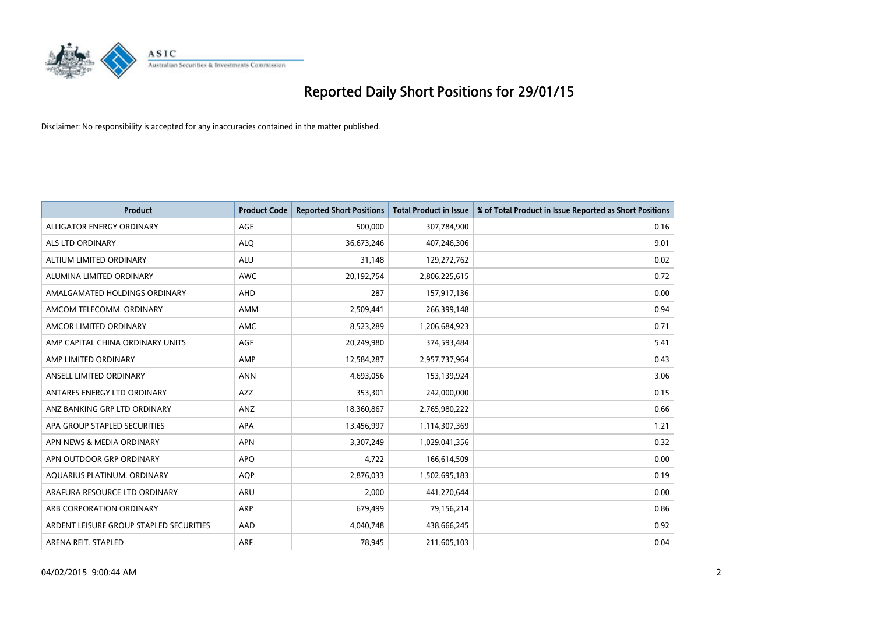

| <b>Product</b>                          | <b>Product Code</b> | <b>Reported Short Positions</b> | Total Product in Issue | % of Total Product in Issue Reported as Short Positions |
|-----------------------------------------|---------------------|---------------------------------|------------------------|---------------------------------------------------------|
| ALLIGATOR ENERGY ORDINARY               | <b>AGE</b>          | 500,000                         | 307,784,900            | 0.16                                                    |
| ALS LTD ORDINARY                        | <b>ALQ</b>          | 36,673,246                      | 407,246,306            | 9.01                                                    |
| ALTIUM LIMITED ORDINARY                 | <b>ALU</b>          | 31,148                          | 129,272,762            | 0.02                                                    |
| ALUMINA LIMITED ORDINARY                | <b>AWC</b>          | 20,192,754                      | 2,806,225,615          | 0.72                                                    |
| AMALGAMATED HOLDINGS ORDINARY           | AHD                 | 287                             | 157,917,136            | 0.00                                                    |
| AMCOM TELECOMM, ORDINARY                | <b>AMM</b>          | 2,509,441                       | 266,399,148            | 0.94                                                    |
| AMCOR LIMITED ORDINARY                  | AMC                 | 8,523,289                       | 1,206,684,923          | 0.71                                                    |
| AMP CAPITAL CHINA ORDINARY UNITS        | AGF                 | 20,249,980                      | 374,593,484            | 5.41                                                    |
| AMP LIMITED ORDINARY                    | AMP                 | 12,584,287                      | 2,957,737,964          | 0.43                                                    |
| ANSELL LIMITED ORDINARY                 | <b>ANN</b>          | 4,693,056                       | 153,139,924            | 3.06                                                    |
| ANTARES ENERGY LTD ORDINARY             | <b>AZZ</b>          | 353,301                         | 242,000,000            | 0.15                                                    |
| ANZ BANKING GRP LTD ORDINARY            | ANZ                 | 18,360,867                      | 2,765,980,222          | 0.66                                                    |
| APA GROUP STAPLED SECURITIES            | APA                 | 13,456,997                      | 1,114,307,369          | 1.21                                                    |
| APN NEWS & MEDIA ORDINARY               | <b>APN</b>          | 3,307,249                       | 1,029,041,356          | 0.32                                                    |
| APN OUTDOOR GRP ORDINARY                | <b>APO</b>          | 4,722                           | 166,614,509            | 0.00                                                    |
| AQUARIUS PLATINUM. ORDINARY             | <b>AOP</b>          | 2,876,033                       | 1,502,695,183          | 0.19                                                    |
| ARAFURA RESOURCE LTD ORDINARY           | ARU                 | 2,000                           | 441,270,644            | 0.00                                                    |
| ARB CORPORATION ORDINARY                | <b>ARP</b>          | 679,499                         | 79,156,214             | 0.86                                                    |
| ARDENT LEISURE GROUP STAPLED SECURITIES | AAD                 | 4,040,748                       | 438,666,245            | 0.92                                                    |
| ARENA REIT. STAPLED                     | <b>ARF</b>          | 78,945                          | 211,605,103            | 0.04                                                    |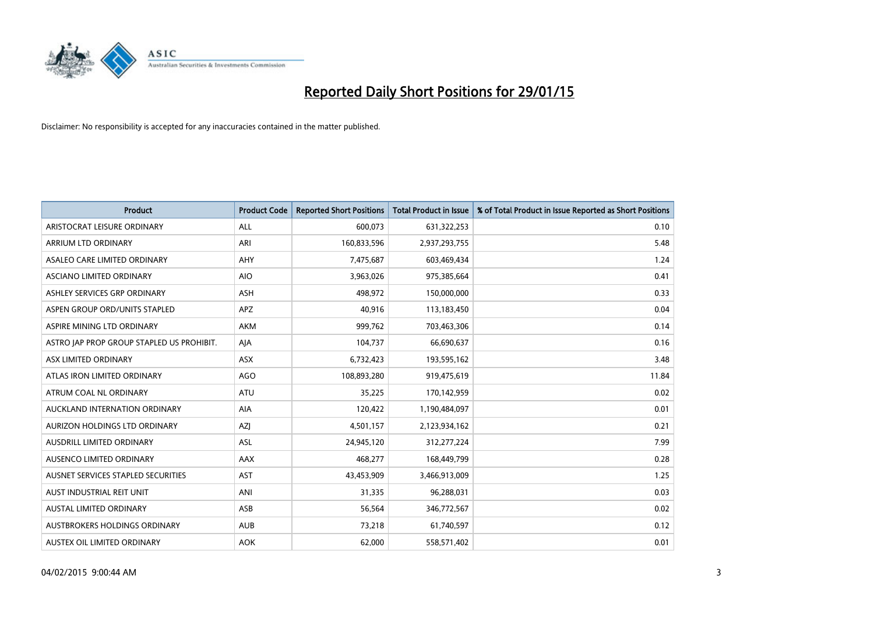

| <b>Product</b>                            | <b>Product Code</b> | <b>Reported Short Positions</b> | Total Product in Issue | % of Total Product in Issue Reported as Short Positions |
|-------------------------------------------|---------------------|---------------------------------|------------------------|---------------------------------------------------------|
| ARISTOCRAT LEISURE ORDINARY               | <b>ALL</b>          | 600,073                         | 631,322,253            | 0.10                                                    |
| ARRIUM LTD ORDINARY                       | ARI                 | 160,833,596                     | 2,937,293,755          | 5.48                                                    |
| ASALEO CARE LIMITED ORDINARY              | AHY                 | 7,475,687                       | 603,469,434            | 1.24                                                    |
| ASCIANO LIMITED ORDINARY                  | <b>AIO</b>          | 3,963,026                       | 975,385,664            | 0.41                                                    |
| ASHLEY SERVICES GRP ORDINARY              | <b>ASH</b>          | 498,972                         | 150,000,000            | 0.33                                                    |
| ASPEN GROUP ORD/UNITS STAPLED             | <b>APZ</b>          | 40,916                          | 113,183,450            | 0.04                                                    |
| ASPIRE MINING LTD ORDINARY                | <b>AKM</b>          | 999,762                         | 703,463,306            | 0.14                                                    |
| ASTRO JAP PROP GROUP STAPLED US PROHIBIT. | AJA                 | 104,737                         | 66,690,637             | 0.16                                                    |
| ASX LIMITED ORDINARY                      | <b>ASX</b>          | 6,732,423                       | 193,595,162            | 3.48                                                    |
| ATLAS IRON LIMITED ORDINARY               | <b>AGO</b>          | 108,893,280                     | 919,475,619            | 11.84                                                   |
| ATRUM COAL NL ORDINARY                    | <b>ATU</b>          | 35,225                          | 170,142,959            | 0.02                                                    |
| AUCKLAND INTERNATION ORDINARY             | AIA                 | 120,422                         | 1,190,484,097          | 0.01                                                    |
| AURIZON HOLDINGS LTD ORDINARY             | AZI                 | 4,501,157                       | 2,123,934,162          | 0.21                                                    |
| AUSDRILL LIMITED ORDINARY                 | ASL                 | 24,945,120                      | 312,277,224            | 7.99                                                    |
| AUSENCO LIMITED ORDINARY                  | AAX                 | 468,277                         | 168,449,799            | 0.28                                                    |
| AUSNET SERVICES STAPLED SECURITIES        | <b>AST</b>          | 43,453,909                      | 3,466,913,009          | 1.25                                                    |
| AUST INDUSTRIAL REIT UNIT                 | ANI                 | 31,335                          | 96,288,031             | 0.03                                                    |
| <b>AUSTAL LIMITED ORDINARY</b>            | ASB                 | 56,564                          | 346,772,567            | 0.02                                                    |
| AUSTBROKERS HOLDINGS ORDINARY             | <b>AUB</b>          | 73,218                          | 61,740,597             | 0.12                                                    |
| AUSTEX OIL LIMITED ORDINARY               | <b>AOK</b>          | 62,000                          | 558,571,402            | 0.01                                                    |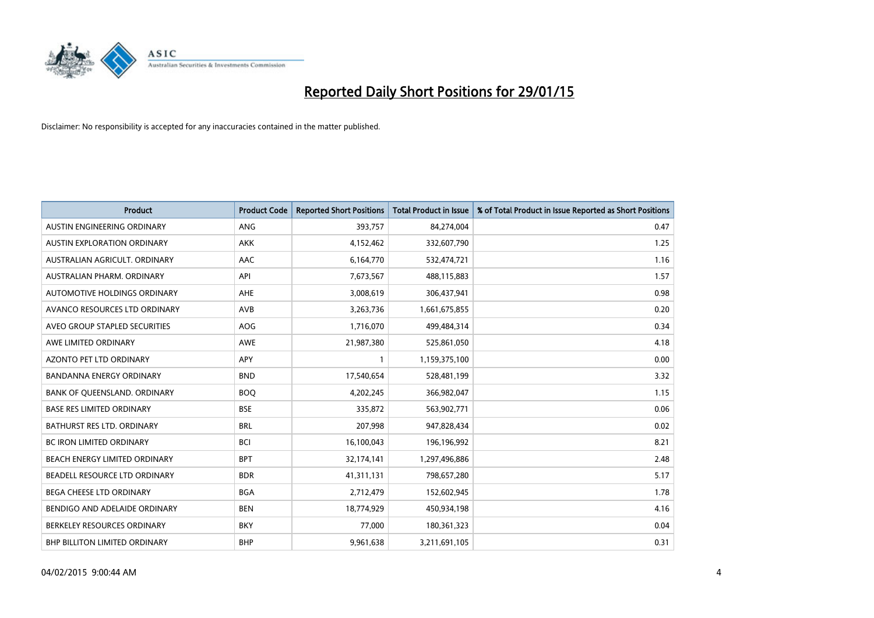

| <b>Product</b>                       | <b>Product Code</b> | <b>Reported Short Positions</b> | <b>Total Product in Issue</b> | % of Total Product in Issue Reported as Short Positions |
|--------------------------------------|---------------------|---------------------------------|-------------------------------|---------------------------------------------------------|
| AUSTIN ENGINEERING ORDINARY          | ANG                 | 393,757                         | 84,274,004                    | 0.47                                                    |
| AUSTIN EXPLORATION ORDINARY          | <b>AKK</b>          | 4,152,462                       | 332,607,790                   | 1.25                                                    |
| AUSTRALIAN AGRICULT. ORDINARY        | AAC                 | 6,164,770                       | 532,474,721                   | 1.16                                                    |
| AUSTRALIAN PHARM, ORDINARY           | API                 | 7,673,567                       | 488,115,883                   | 1.57                                                    |
| AUTOMOTIVE HOLDINGS ORDINARY         | <b>AHE</b>          | 3,008,619                       | 306,437,941                   | 0.98                                                    |
| AVANCO RESOURCES LTD ORDINARY        | <b>AVB</b>          | 3,263,736                       | 1,661,675,855                 | 0.20                                                    |
| AVEO GROUP STAPLED SECURITIES        | <b>AOG</b>          | 1,716,070                       | 499,484,314                   | 0.34                                                    |
| AWE LIMITED ORDINARY                 | <b>AWE</b>          | 21,987,380                      | 525,861,050                   | 4.18                                                    |
| <b>AZONTO PET LTD ORDINARY</b>       | <b>APY</b>          | $\mathbf{1}$                    | 1,159,375,100                 | 0.00                                                    |
| <b>BANDANNA ENERGY ORDINARY</b>      | <b>BND</b>          | 17,540,654                      | 528,481,199                   | 3.32                                                    |
| BANK OF QUEENSLAND. ORDINARY         | <b>BOQ</b>          | 4,202,245                       | 366,982,047                   | 1.15                                                    |
| <b>BASE RES LIMITED ORDINARY</b>     | <b>BSE</b>          | 335,872                         | 563,902,771                   | 0.06                                                    |
| BATHURST RES LTD. ORDINARY           | <b>BRL</b>          | 207,998                         | 947,828,434                   | 0.02                                                    |
| BC IRON LIMITED ORDINARY             | <b>BCI</b>          | 16,100,043                      | 196,196,992                   | 8.21                                                    |
| BEACH ENERGY LIMITED ORDINARY        | <b>BPT</b>          | 32,174,141                      | 1,297,496,886                 | 2.48                                                    |
| BEADELL RESOURCE LTD ORDINARY        | <b>BDR</b>          | 41,311,131                      | 798,657,280                   | 5.17                                                    |
| BEGA CHEESE LTD ORDINARY             | <b>BGA</b>          | 2,712,479                       | 152,602,945                   | 1.78                                                    |
| BENDIGO AND ADELAIDE ORDINARY        | <b>BEN</b>          | 18,774,929                      | 450,934,198                   | 4.16                                                    |
| BERKELEY RESOURCES ORDINARY          | <b>BKY</b>          | 77,000                          | 180,361,323                   | 0.04                                                    |
| <b>BHP BILLITON LIMITED ORDINARY</b> | <b>BHP</b>          | 9,961,638                       | 3,211,691,105                 | 0.31                                                    |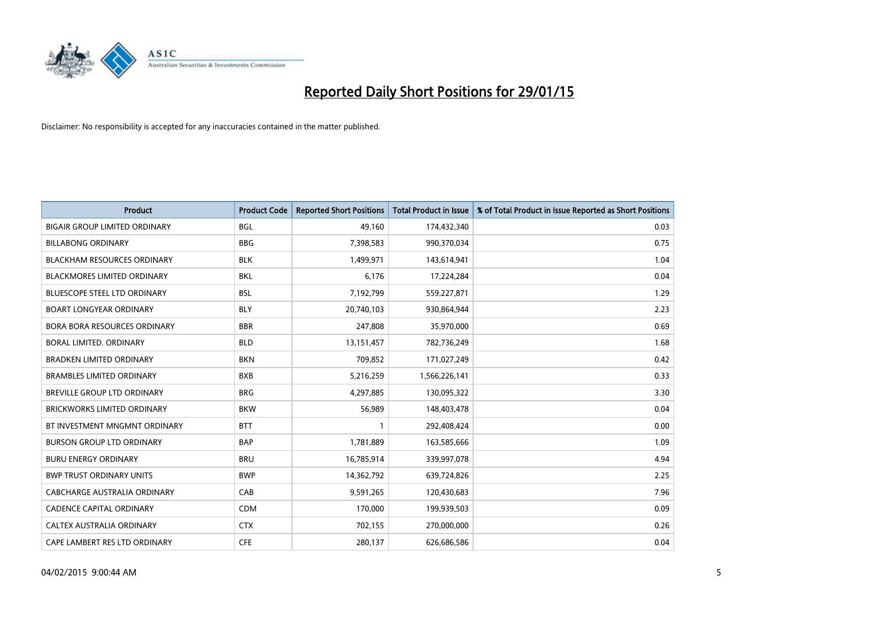

| Product                              | <b>Product Code</b> | <b>Reported Short Positions</b> | <b>Total Product in Issue</b> | % of Total Product in Issue Reported as Short Positions |
|--------------------------------------|---------------------|---------------------------------|-------------------------------|---------------------------------------------------------|
| <b>BIGAIR GROUP LIMITED ORDINARY</b> | <b>BGL</b>          | 49,160                          | 174,432,340                   | 0.03                                                    |
| <b>BILLABONG ORDINARY</b>            | <b>BBG</b>          | 7,398,583                       | 990,370,034                   | 0.75                                                    |
| <b>BLACKHAM RESOURCES ORDINARY</b>   | <b>BLK</b>          | 1,499,971                       | 143,614,941                   | 1.04                                                    |
| <b>BLACKMORES LIMITED ORDINARY</b>   | <b>BKL</b>          | 6,176                           | 17,224,284                    | 0.04                                                    |
| <b>BLUESCOPE STEEL LTD ORDINARY</b>  | <b>BSL</b>          | 7,192,799                       | 559,227,871                   | 1.29                                                    |
| <b>BOART LONGYEAR ORDINARY</b>       | <b>BLY</b>          | 20,740,103                      | 930,864,944                   | 2.23                                                    |
| <b>BORA BORA RESOURCES ORDINARY</b>  | <b>BBR</b>          | 247,808                         | 35,970,000                    | 0.69                                                    |
| <b>BORAL LIMITED, ORDINARY</b>       | <b>BLD</b>          | 13,151,457                      | 782,736,249                   | 1.68                                                    |
| <b>BRADKEN LIMITED ORDINARY</b>      | <b>BKN</b>          | 709,852                         | 171,027,249                   | 0.42                                                    |
| <b>BRAMBLES LIMITED ORDINARY</b>     | <b>BXB</b>          | 5,216,259                       | 1,566,226,141                 | 0.33                                                    |
| BREVILLE GROUP LTD ORDINARY          | <b>BRG</b>          | 4,297,885                       | 130,095,322                   | 3.30                                                    |
| <b>BRICKWORKS LIMITED ORDINARY</b>   | <b>BKW</b>          | 56,989                          | 148,403,478                   | 0.04                                                    |
| BT INVESTMENT MNGMNT ORDINARY        | <b>BTT</b>          | $\mathbf{1}$                    | 292,408,424                   | 0.00                                                    |
| <b>BURSON GROUP LTD ORDINARY</b>     | <b>BAP</b>          | 1,781,889                       | 163,585,666                   | 1.09                                                    |
| <b>BURU ENERGY ORDINARY</b>          | <b>BRU</b>          | 16,785,914                      | 339,997,078                   | 4.94                                                    |
| <b>BWP TRUST ORDINARY UNITS</b>      | <b>BWP</b>          | 14,362,792                      | 639,724,826                   | 2.25                                                    |
| CABCHARGE AUSTRALIA ORDINARY         | CAB                 | 9,591,265                       | 120,430,683                   | 7.96                                                    |
| <b>CADENCE CAPITAL ORDINARY</b>      | <b>CDM</b>          | 170,000                         | 199,939,503                   | 0.09                                                    |
| CALTEX AUSTRALIA ORDINARY            | <b>CTX</b>          | 702,155                         | 270,000,000                   | 0.26                                                    |
| CAPE LAMBERT RES LTD ORDINARY        | <b>CFE</b>          | 280,137                         | 626,686,586                   | 0.04                                                    |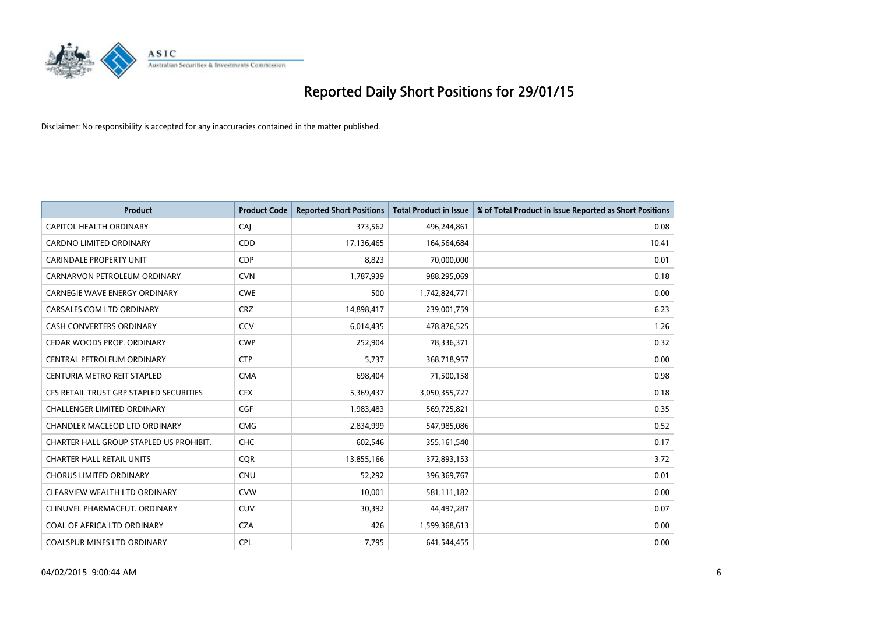

| <b>Product</b>                          | <b>Product Code</b> | <b>Reported Short Positions</b> | <b>Total Product in Issue</b> | % of Total Product in Issue Reported as Short Positions |
|-----------------------------------------|---------------------|---------------------------------|-------------------------------|---------------------------------------------------------|
| <b>CAPITOL HEALTH ORDINARY</b>          | CAJ                 | 373,562                         | 496,244,861                   | 0.08                                                    |
| <b>CARDNO LIMITED ORDINARY</b>          | CDD                 | 17,136,465                      | 164,564,684                   | 10.41                                                   |
| <b>CARINDALE PROPERTY UNIT</b>          | <b>CDP</b>          | 8,823                           | 70,000,000                    | 0.01                                                    |
| CARNARVON PETROLEUM ORDINARY            | <b>CVN</b>          | 1,787,939                       | 988,295,069                   | 0.18                                                    |
| <b>CARNEGIE WAVE ENERGY ORDINARY</b>    | <b>CWE</b>          | 500                             | 1,742,824,771                 | 0.00                                                    |
| CARSALES.COM LTD ORDINARY               | <b>CRZ</b>          | 14,898,417                      | 239,001,759                   | 6.23                                                    |
| <b>CASH CONVERTERS ORDINARY</b>         | <b>CCV</b>          | 6,014,435                       | 478,876,525                   | 1.26                                                    |
| <b>CEDAR WOODS PROP. ORDINARY</b>       | <b>CWP</b>          | 252,904                         | 78,336,371                    | 0.32                                                    |
| CENTRAL PETROLEUM ORDINARY              | <b>CTP</b>          | 5,737                           | 368,718,957                   | 0.00                                                    |
| CENTURIA METRO REIT STAPLED             | <b>CMA</b>          | 698,404                         | 71,500,158                    | 0.98                                                    |
| CFS RETAIL TRUST GRP STAPLED SECURITIES | <b>CFX</b>          | 5,369,437                       | 3,050,355,727                 | 0.18                                                    |
| <b>CHALLENGER LIMITED ORDINARY</b>      | <b>CGF</b>          | 1,983,483                       | 569,725,821                   | 0.35                                                    |
| CHANDLER MACLEOD LTD ORDINARY           | <b>CMG</b>          | 2,834,999                       | 547,985,086                   | 0.52                                                    |
| CHARTER HALL GROUP STAPLED US PROHIBIT. | <b>CHC</b>          | 602,546                         | 355,161,540                   | 0.17                                                    |
| <b>CHARTER HALL RETAIL UNITS</b>        | <b>CQR</b>          | 13,855,166                      | 372,893,153                   | 3.72                                                    |
| <b>CHORUS LIMITED ORDINARY</b>          | <b>CNU</b>          | 52,292                          | 396,369,767                   | 0.01                                                    |
| CLEARVIEW WEALTH LTD ORDINARY           | <b>CVW</b>          | 10,001                          | 581,111,182                   | 0.00                                                    |
| CLINUVEL PHARMACEUT, ORDINARY           | <b>CUV</b>          | 30,392                          | 44,497,287                    | 0.07                                                    |
| COAL OF AFRICA LTD ORDINARY             | <b>CZA</b>          | 426                             | 1,599,368,613                 | 0.00                                                    |
| <b>COALSPUR MINES LTD ORDINARY</b>      | <b>CPL</b>          | 7,795                           | 641,544,455                   | 0.00                                                    |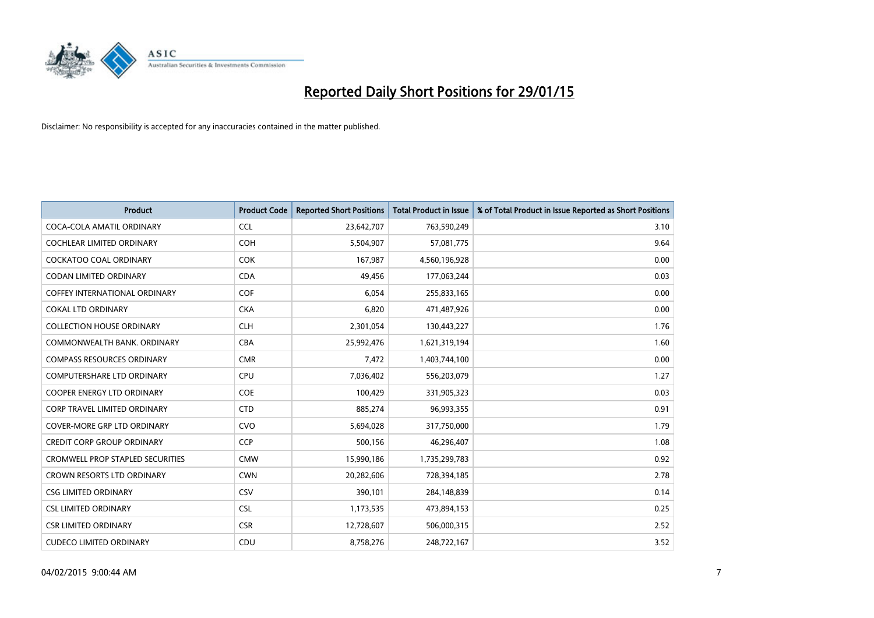

| <b>Product</b>                          | <b>Product Code</b> | <b>Reported Short Positions</b> | <b>Total Product in Issue</b> | % of Total Product in Issue Reported as Short Positions |
|-----------------------------------------|---------------------|---------------------------------|-------------------------------|---------------------------------------------------------|
| COCA-COLA AMATIL ORDINARY               | <b>CCL</b>          | 23,642,707                      | 763,590,249                   | 3.10                                                    |
| <b>COCHLEAR LIMITED ORDINARY</b>        | COH                 | 5,504,907                       | 57,081,775                    | 9.64                                                    |
| COCKATOO COAL ORDINARY                  | <b>COK</b>          | 167,987                         | 4,560,196,928                 | 0.00                                                    |
| <b>CODAN LIMITED ORDINARY</b>           | <b>CDA</b>          | 49,456                          | 177,063,244                   | 0.03                                                    |
| <b>COFFEY INTERNATIONAL ORDINARY</b>    | <b>COF</b>          | 6,054                           | 255,833,165                   | 0.00                                                    |
| <b>COKAL LTD ORDINARY</b>               | <b>CKA</b>          | 6,820                           | 471,487,926                   | 0.00                                                    |
| <b>COLLECTION HOUSE ORDINARY</b>        | <b>CLH</b>          | 2,301,054                       | 130,443,227                   | 1.76                                                    |
| COMMONWEALTH BANK, ORDINARY             | <b>CBA</b>          | 25,992,476                      | 1,621,319,194                 | 1.60                                                    |
| <b>COMPASS RESOURCES ORDINARY</b>       | <b>CMR</b>          | 7,472                           | 1,403,744,100                 | 0.00                                                    |
| <b>COMPUTERSHARE LTD ORDINARY</b>       | <b>CPU</b>          | 7,036,402                       | 556,203,079                   | 1.27                                                    |
| COOPER ENERGY LTD ORDINARY              | <b>COE</b>          | 100,429                         | 331,905,323                   | 0.03                                                    |
| <b>CORP TRAVEL LIMITED ORDINARY</b>     | <b>CTD</b>          | 885,274                         | 96,993,355                    | 0.91                                                    |
| <b>COVER-MORE GRP LTD ORDINARY</b>      | <b>CVO</b>          | 5,694,028                       | 317,750,000                   | 1.79                                                    |
| <b>CREDIT CORP GROUP ORDINARY</b>       | <b>CCP</b>          | 500,156                         | 46,296,407                    | 1.08                                                    |
| <b>CROMWELL PROP STAPLED SECURITIES</b> | <b>CMW</b>          | 15,990,186                      | 1,735,299,783                 | 0.92                                                    |
| <b>CROWN RESORTS LTD ORDINARY</b>       | <b>CWN</b>          | 20,282,606                      | 728,394,185                   | 2.78                                                    |
| <b>CSG LIMITED ORDINARY</b>             | CSV                 | 390,101                         | 284,148,839                   | 0.14                                                    |
| <b>CSL LIMITED ORDINARY</b>             | <b>CSL</b>          | 1,173,535                       | 473,894,153                   | 0.25                                                    |
| <b>CSR LIMITED ORDINARY</b>             | <b>CSR</b>          | 12,728,607                      | 506,000,315                   | 2.52                                                    |
| <b>CUDECO LIMITED ORDINARY</b>          | CDU                 | 8,758,276                       | 248,722,167                   | 3.52                                                    |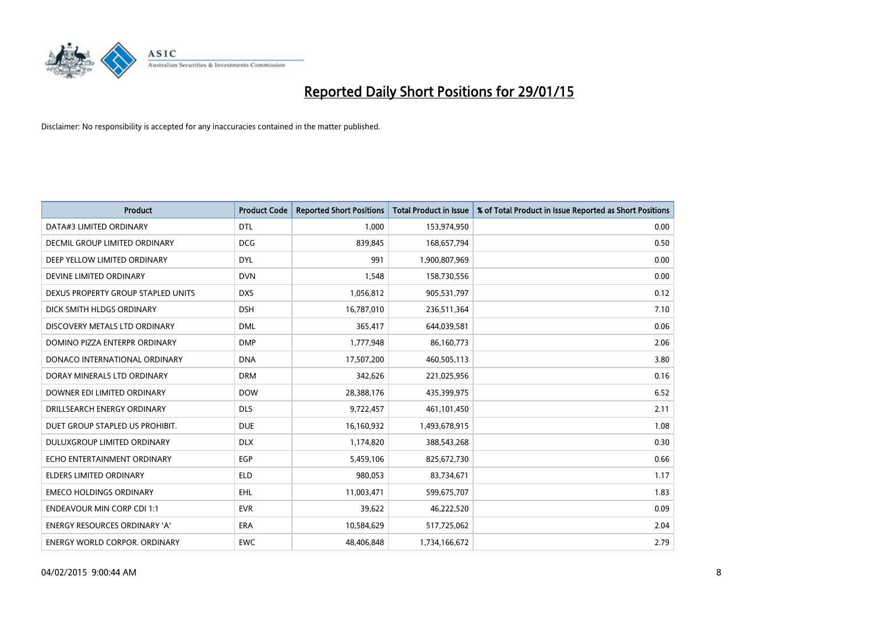

| <b>Product</b>                       | <b>Product Code</b> | <b>Reported Short Positions</b> | <b>Total Product in Issue</b> | % of Total Product in Issue Reported as Short Positions |
|--------------------------------------|---------------------|---------------------------------|-------------------------------|---------------------------------------------------------|
| DATA#3 LIMITED ORDINARY              | <b>DTL</b>          | 1,000                           | 153,974,950                   | 0.00                                                    |
| <b>DECMIL GROUP LIMITED ORDINARY</b> | <b>DCG</b>          | 839,845                         | 168,657,794                   | 0.50                                                    |
| DEEP YELLOW LIMITED ORDINARY         | DYL.                | 991                             | 1,900,807,969                 | 0.00                                                    |
| DEVINE LIMITED ORDINARY              | <b>DVN</b>          | 1,548                           | 158,730,556                   | 0.00                                                    |
| DEXUS PROPERTY GROUP STAPLED UNITS   | <b>DXS</b>          | 1,056,812                       | 905,531,797                   | 0.12                                                    |
| DICK SMITH HLDGS ORDINARY            | <b>DSH</b>          | 16,787,010                      | 236,511,364                   | 7.10                                                    |
| DISCOVERY METALS LTD ORDINARY        | <b>DML</b>          | 365,417                         | 644,039,581                   | 0.06                                                    |
| DOMINO PIZZA ENTERPR ORDINARY        | <b>DMP</b>          | 1,777,948                       | 86,160,773                    | 2.06                                                    |
| DONACO INTERNATIONAL ORDINARY        | <b>DNA</b>          | 17,507,200                      | 460,505,113                   | 3.80                                                    |
| DORAY MINERALS LTD ORDINARY          | <b>DRM</b>          | 342,626                         | 221,025,956                   | 0.16                                                    |
| DOWNER EDI LIMITED ORDINARY          | <b>DOW</b>          | 28,388,176                      | 435,399,975                   | 6.52                                                    |
| DRILLSEARCH ENERGY ORDINARY          | <b>DLS</b>          | 9,722,457                       | 461,101,450                   | 2.11                                                    |
| DUET GROUP STAPLED US PROHIBIT.      | <b>DUE</b>          | 16,160,932                      | 1,493,678,915                 | 1.08                                                    |
| DULUXGROUP LIMITED ORDINARY          | <b>DLX</b>          | 1,174,820                       | 388,543,268                   | 0.30                                                    |
| ECHO ENTERTAINMENT ORDINARY          | <b>EGP</b>          | 5,459,106                       | 825,672,730                   | 0.66                                                    |
| <b>ELDERS LIMITED ORDINARY</b>       | <b>ELD</b>          | 980,053                         | 83,734,671                    | 1.17                                                    |
| <b>EMECO HOLDINGS ORDINARY</b>       | <b>EHL</b>          | 11,003,471                      | 599,675,707                   | 1.83                                                    |
| <b>ENDEAVOUR MIN CORP CDI 1:1</b>    | <b>EVR</b>          | 39,622                          | 46,222,520                    | 0.09                                                    |
| <b>ENERGY RESOURCES ORDINARY 'A'</b> | <b>ERA</b>          | 10,584,629                      | 517,725,062                   | 2.04                                                    |
| <b>ENERGY WORLD CORPOR. ORDINARY</b> | <b>EWC</b>          | 48,406,848                      | 1,734,166,672                 | 2.79                                                    |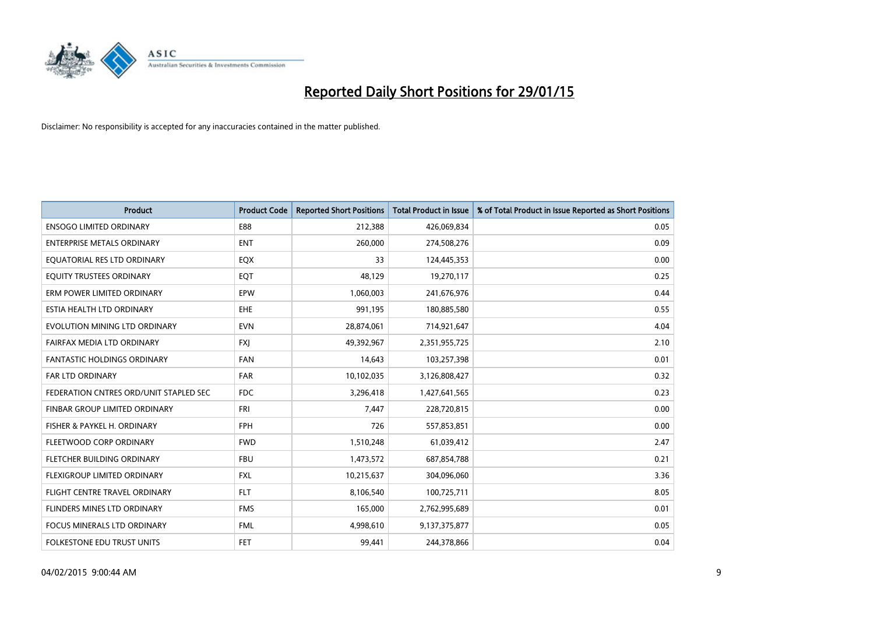

| <b>Product</b>                         | <b>Product Code</b> | <b>Reported Short Positions</b> | <b>Total Product in Issue</b> | % of Total Product in Issue Reported as Short Positions |
|----------------------------------------|---------------------|---------------------------------|-------------------------------|---------------------------------------------------------|
| <b>ENSOGO LIMITED ORDINARY</b>         | E88                 | 212,388                         | 426,069,834                   | 0.05                                                    |
| <b>ENTERPRISE METALS ORDINARY</b>      | <b>ENT</b>          | 260,000                         | 274,508,276                   | 0.09                                                    |
| EQUATORIAL RES LTD ORDINARY            | EQX                 | 33                              | 124,445,353                   | 0.00                                                    |
| EQUITY TRUSTEES ORDINARY               | EQT                 | 48,129                          | 19,270,117                    | 0.25                                                    |
| ERM POWER LIMITED ORDINARY             | EPW                 | 1,060,003                       | 241,676,976                   | 0.44                                                    |
| ESTIA HEALTH LTD ORDINARY              | <b>EHE</b>          | 991,195                         | 180,885,580                   | 0.55                                                    |
| EVOLUTION MINING LTD ORDINARY          | <b>EVN</b>          | 28,874,061                      | 714,921,647                   | 4.04                                                    |
| FAIRFAX MEDIA LTD ORDINARY             | <b>FXJ</b>          | 49,392,967                      | 2,351,955,725                 | 2.10                                                    |
| <b>FANTASTIC HOLDINGS ORDINARY</b>     | <b>FAN</b>          | 14,643                          | 103,257,398                   | 0.01                                                    |
| <b>FAR LTD ORDINARY</b>                | <b>FAR</b>          | 10,102,035                      | 3,126,808,427                 | 0.32                                                    |
| FEDERATION CNTRES ORD/UNIT STAPLED SEC | <b>FDC</b>          | 3,296,418                       | 1,427,641,565                 | 0.23                                                    |
| FINBAR GROUP LIMITED ORDINARY          | <b>FRI</b>          | 7,447                           | 228,720,815                   | 0.00                                                    |
| FISHER & PAYKEL H. ORDINARY            | <b>FPH</b>          | 726                             | 557,853,851                   | 0.00                                                    |
| FLEETWOOD CORP ORDINARY                | <b>FWD</b>          | 1,510,248                       | 61,039,412                    | 2.47                                                    |
| FLETCHER BUILDING ORDINARY             | <b>FBU</b>          | 1,473,572                       | 687,854,788                   | 0.21                                                    |
| FLEXIGROUP LIMITED ORDINARY            | <b>FXL</b>          | 10,215,637                      | 304,096,060                   | 3.36                                                    |
| FLIGHT CENTRE TRAVEL ORDINARY          | <b>FLT</b>          | 8,106,540                       | 100,725,711                   | 8.05                                                    |
| FLINDERS MINES LTD ORDINARY            | <b>FMS</b>          | 165,000                         | 2,762,995,689                 | 0.01                                                    |
| <b>FOCUS MINERALS LTD ORDINARY</b>     | <b>FML</b>          | 4,998,610                       | 9,137,375,877                 | 0.05                                                    |
| FOLKESTONE EDU TRUST UNITS             | FET                 | 99,441                          | 244,378,866                   | 0.04                                                    |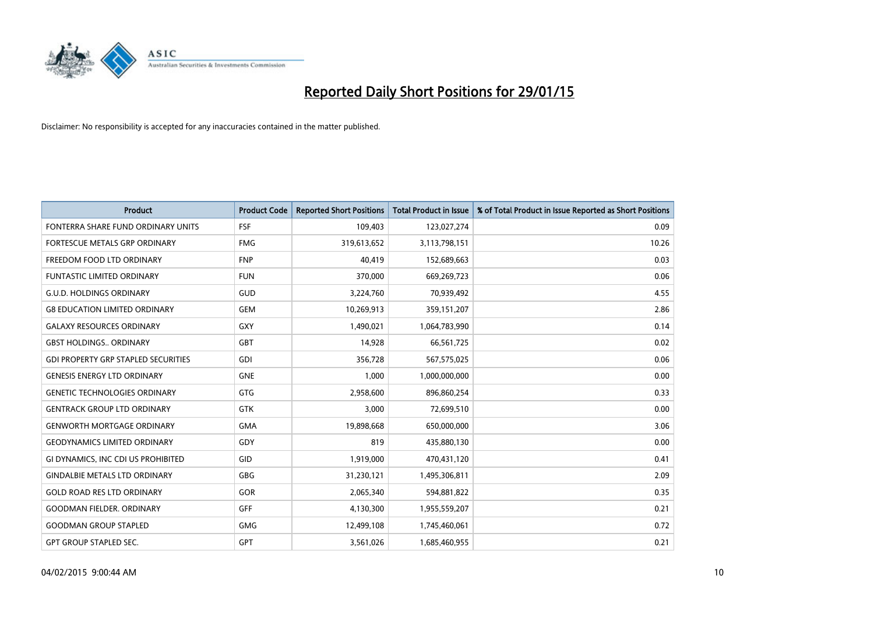

| <b>Product</b>                             | <b>Product Code</b> | <b>Reported Short Positions</b> | <b>Total Product in Issue</b> | % of Total Product in Issue Reported as Short Positions |
|--------------------------------------------|---------------------|---------------------------------|-------------------------------|---------------------------------------------------------|
| FONTERRA SHARE FUND ORDINARY UNITS         | <b>FSF</b>          | 109,403                         | 123,027,274                   | 0.09                                                    |
| FORTESCUE METALS GRP ORDINARY              | <b>FMG</b>          | 319,613,652                     | 3,113,798,151                 | 10.26                                                   |
| FREEDOM FOOD LTD ORDINARY                  | <b>FNP</b>          | 40,419                          | 152,689,663                   | 0.03                                                    |
| <b>FUNTASTIC LIMITED ORDINARY</b>          | <b>FUN</b>          | 370,000                         | 669,269,723                   | 0.06                                                    |
| <b>G.U.D. HOLDINGS ORDINARY</b>            | GUD                 | 3,224,760                       | 70,939,492                    | 4.55                                                    |
| <b>G8 EDUCATION LIMITED ORDINARY</b>       | <b>GEM</b>          | 10,269,913                      | 359,151,207                   | 2.86                                                    |
| <b>GALAXY RESOURCES ORDINARY</b>           | <b>GXY</b>          | 1,490,021                       | 1,064,783,990                 | 0.14                                                    |
| <b>GBST HOLDINGS ORDINARY</b>              | <b>GBT</b>          | 14,928                          | 66,561,725                    | 0.02                                                    |
| <b>GDI PROPERTY GRP STAPLED SECURITIES</b> | GDI                 | 356,728                         | 567,575,025                   | 0.06                                                    |
| <b>GENESIS ENERGY LTD ORDINARY</b>         | <b>GNE</b>          | 1,000                           | 1,000,000,000                 | 0.00                                                    |
| <b>GENETIC TECHNOLOGIES ORDINARY</b>       | GTG                 | 2,958,600                       | 896,860,254                   | 0.33                                                    |
| <b>GENTRACK GROUP LTD ORDINARY</b>         | <b>GTK</b>          | 3.000                           | 72,699,510                    | 0.00                                                    |
| <b>GENWORTH MORTGAGE ORDINARY</b>          | <b>GMA</b>          | 19,898,668                      | 650,000,000                   | 3.06                                                    |
| <b>GEODYNAMICS LIMITED ORDINARY</b>        | GDY                 | 819                             | 435,880,130                   | 0.00                                                    |
| GI DYNAMICS, INC CDI US PROHIBITED         | GID                 | 1,919,000                       | 470,431,120                   | 0.41                                                    |
| <b>GINDALBIE METALS LTD ORDINARY</b>       | GBG                 | 31,230,121                      | 1,495,306,811                 | 2.09                                                    |
| <b>GOLD ROAD RES LTD ORDINARY</b>          | GOR                 | 2,065,340                       | 594,881,822                   | 0.35                                                    |
| <b>GOODMAN FIELDER, ORDINARY</b>           | <b>GFF</b>          | 4,130,300                       | 1,955,559,207                 | 0.21                                                    |
| <b>GOODMAN GROUP STAPLED</b>               | <b>GMG</b>          | 12,499,108                      | 1,745,460,061                 | 0.72                                                    |
| <b>GPT GROUP STAPLED SEC.</b>              | GPT                 | 3,561,026                       | 1,685,460,955                 | 0.21                                                    |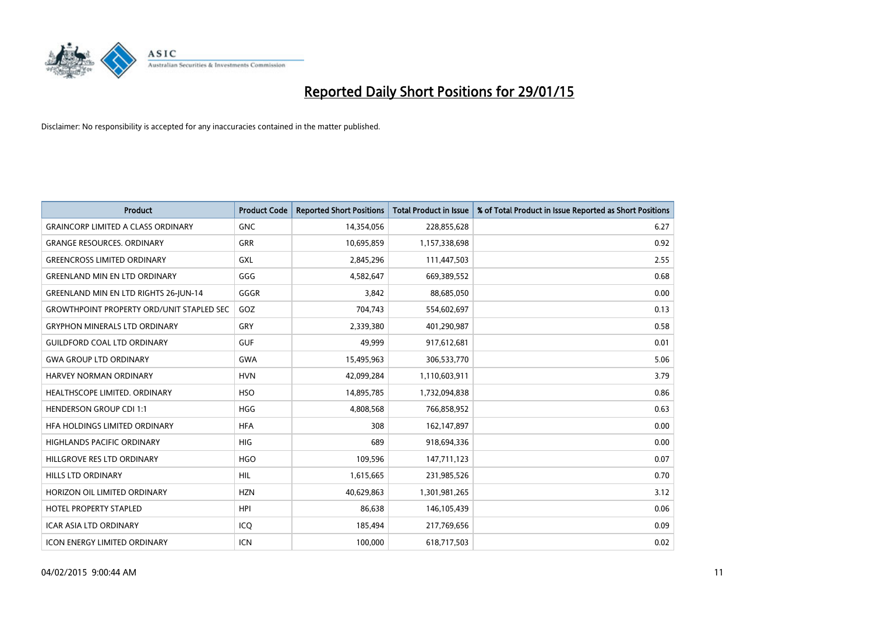

| Product                                          | <b>Product Code</b> | <b>Reported Short Positions</b> | <b>Total Product in Issue</b> | % of Total Product in Issue Reported as Short Positions |
|--------------------------------------------------|---------------------|---------------------------------|-------------------------------|---------------------------------------------------------|
| <b>GRAINCORP LIMITED A CLASS ORDINARY</b>        | <b>GNC</b>          | 14,354,056                      | 228,855,628                   | 6.27                                                    |
| <b>GRANGE RESOURCES. ORDINARY</b>                | <b>GRR</b>          | 10,695,859                      | 1,157,338,698                 | 0.92                                                    |
| <b>GREENCROSS LIMITED ORDINARY</b>               | <b>GXL</b>          | 2,845,296                       | 111,447,503                   | 2.55                                                    |
| <b>GREENLAND MIN EN LTD ORDINARY</b>             | GGG                 | 4,582,647                       | 669,389,552                   | 0.68                                                    |
| <b>GREENLAND MIN EN LTD RIGHTS 26-JUN-14</b>     | GGGR                | 3,842                           | 88,685,050                    | 0.00                                                    |
| <b>GROWTHPOINT PROPERTY ORD/UNIT STAPLED SEC</b> | GOZ                 | 704,743                         | 554,602,697                   | 0.13                                                    |
| <b>GRYPHON MINERALS LTD ORDINARY</b>             | <b>GRY</b>          | 2,339,380                       | 401,290,987                   | 0.58                                                    |
| <b>GUILDFORD COAL LTD ORDINARY</b>               | <b>GUF</b>          | 49.999                          | 917,612,681                   | 0.01                                                    |
| <b>GWA GROUP LTD ORDINARY</b>                    | <b>GWA</b>          | 15,495,963                      | 306,533,770                   | 5.06                                                    |
| <b>HARVEY NORMAN ORDINARY</b>                    | <b>HVN</b>          | 42,099,284                      | 1,110,603,911                 | 3.79                                                    |
| HEALTHSCOPE LIMITED. ORDINARY                    | <b>HSO</b>          | 14,895,785                      | 1,732,094,838                 | 0.86                                                    |
| HENDERSON GROUP CDI 1:1                          | <b>HGG</b>          | 4,808,568                       | 766,858,952                   | 0.63                                                    |
| HFA HOLDINGS LIMITED ORDINARY                    | <b>HFA</b>          | 308                             | 162,147,897                   | 0.00                                                    |
| <b>HIGHLANDS PACIFIC ORDINARY</b>                | <b>HIG</b>          | 689                             | 918,694,336                   | 0.00                                                    |
| HILLGROVE RES LTD ORDINARY                       | <b>HGO</b>          | 109,596                         | 147,711,123                   | 0.07                                                    |
| <b>HILLS LTD ORDINARY</b>                        | <b>HIL</b>          | 1,615,665                       | 231,985,526                   | 0.70                                                    |
| HORIZON OIL LIMITED ORDINARY                     | <b>HZN</b>          | 40,629,863                      | 1,301,981,265                 | 3.12                                                    |
| <b>HOTEL PROPERTY STAPLED</b>                    | <b>HPI</b>          | 86.638                          | 146,105,439                   | 0.06                                                    |
| <b>ICAR ASIA LTD ORDINARY</b>                    | ICQ                 | 185,494                         | 217,769,656                   | 0.09                                                    |
| <b>ICON ENERGY LIMITED ORDINARY</b>              | ICN                 | 100,000                         | 618,717,503                   | 0.02                                                    |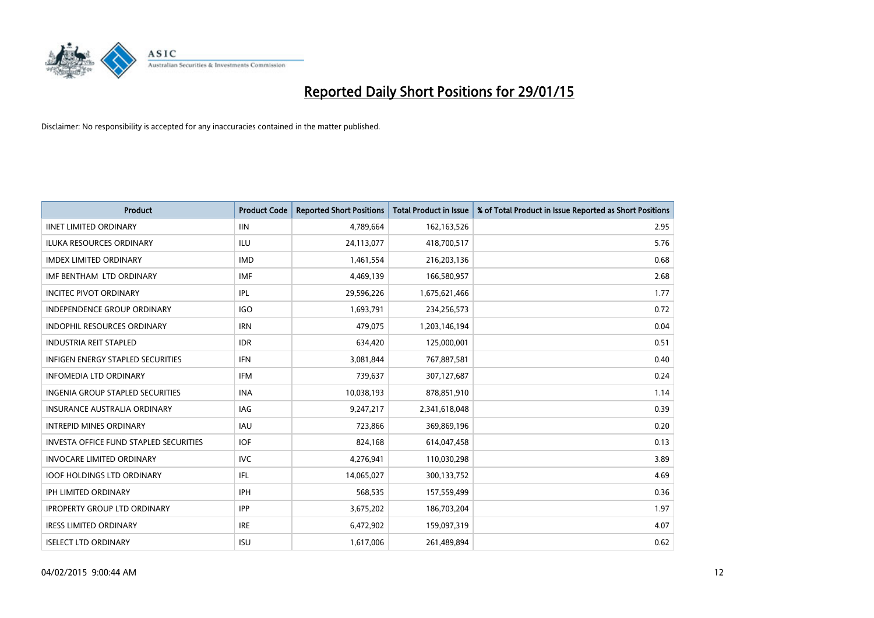

| <b>Product</b>                           | <b>Product Code</b> | <b>Reported Short Positions</b> | <b>Total Product in Issue</b> | % of Total Product in Issue Reported as Short Positions |
|------------------------------------------|---------------------|---------------------------------|-------------------------------|---------------------------------------------------------|
| <b>IINET LIMITED ORDINARY</b>            | <b>IIN</b>          | 4,789,664                       | 162,163,526                   | 2.95                                                    |
| ILUKA RESOURCES ORDINARY                 | ILU                 | 24,113,077                      | 418,700,517                   | 5.76                                                    |
| <b>IMDEX LIMITED ORDINARY</b>            | <b>IMD</b>          | 1,461,554                       | 216,203,136                   | 0.68                                                    |
| IMF BENTHAM LTD ORDINARY                 | <b>IMF</b>          | 4,469,139                       | 166,580,957                   | 2.68                                                    |
| <b>INCITEC PIVOT ORDINARY</b>            | IPL                 | 29,596,226                      | 1,675,621,466                 | 1.77                                                    |
| <b>INDEPENDENCE GROUP ORDINARY</b>       | <b>IGO</b>          | 1,693,791                       | 234,256,573                   | 0.72                                                    |
| <b>INDOPHIL RESOURCES ORDINARY</b>       | <b>IRN</b>          | 479,075                         | 1,203,146,194                 | 0.04                                                    |
| <b>INDUSTRIA REIT STAPLED</b>            | <b>IDR</b>          | 634,420                         | 125,000,001                   | 0.51                                                    |
| <b>INFIGEN ENERGY STAPLED SECURITIES</b> | <b>IFN</b>          | 3,081,844                       | 767,887,581                   | 0.40                                                    |
| <b>INFOMEDIA LTD ORDINARY</b>            | <b>IFM</b>          | 739,637                         | 307,127,687                   | 0.24                                                    |
| INGENIA GROUP STAPLED SECURITIES         | <b>INA</b>          | 10,038,193                      | 878,851,910                   | 1.14                                                    |
| <b>INSURANCE AUSTRALIA ORDINARY</b>      | IAG                 | 9,247,217                       | 2,341,618,048                 | 0.39                                                    |
| <b>INTREPID MINES ORDINARY</b>           | <b>IAU</b>          | 723,866                         | 369,869,196                   | 0.20                                                    |
| INVESTA OFFICE FUND STAPLED SECURITIES   | <b>IOF</b>          | 824,168                         | 614,047,458                   | 0.13                                                    |
| <b>INVOCARE LIMITED ORDINARY</b>         | <b>IVC</b>          | 4,276,941                       | 110,030,298                   | 3.89                                                    |
| <b>IOOF HOLDINGS LTD ORDINARY</b>        | IFL                 | 14,065,027                      | 300,133,752                   | 4.69                                                    |
| IPH LIMITED ORDINARY                     | <b>IPH</b>          | 568,535                         | 157,559,499                   | 0.36                                                    |
| <b>IPROPERTY GROUP LTD ORDINARY</b>      | <b>IPP</b>          | 3,675,202                       | 186,703,204                   | 1.97                                                    |
| <b>IRESS LIMITED ORDINARY</b>            | <b>IRE</b>          | 6,472,902                       | 159,097,319                   | 4.07                                                    |
| <b>ISELECT LTD ORDINARY</b>              | <b>ISU</b>          | 1,617,006                       | 261,489,894                   | 0.62                                                    |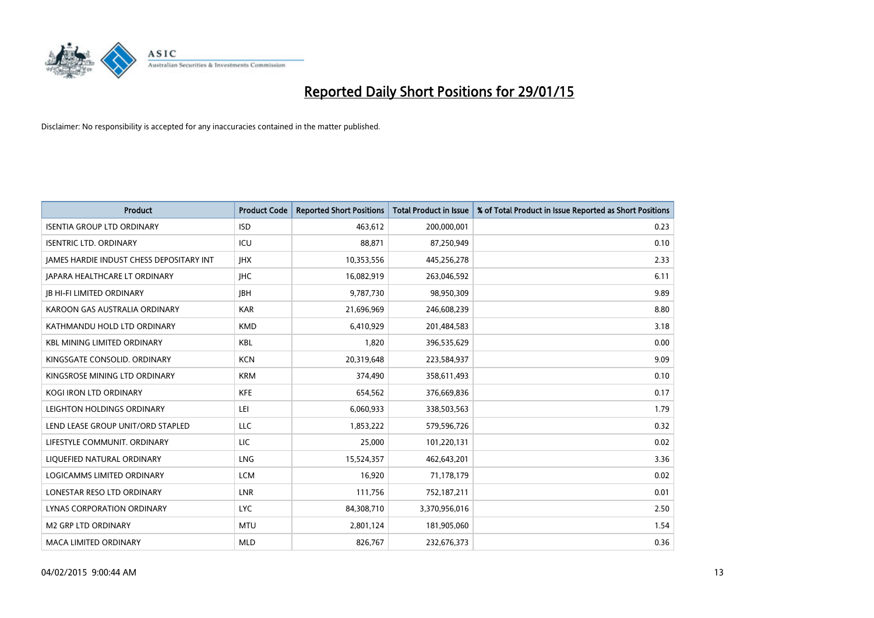

| <b>Product</b>                           | <b>Product Code</b> | <b>Reported Short Positions</b> | <b>Total Product in Issue</b> | % of Total Product in Issue Reported as Short Positions |
|------------------------------------------|---------------------|---------------------------------|-------------------------------|---------------------------------------------------------|
| <b>ISENTIA GROUP LTD ORDINARY</b>        | <b>ISD</b>          | 463,612                         | 200,000,001                   | 0.23                                                    |
| <b>ISENTRIC LTD. ORDINARY</b>            | ICU                 | 88,871                          | 87,250,949                    | 0.10                                                    |
| JAMES HARDIE INDUST CHESS DEPOSITARY INT | <b>IHX</b>          | 10,353,556                      | 445,256,278                   | 2.33                                                    |
| <b>IAPARA HEALTHCARE LT ORDINARY</b>     | <b>IHC</b>          | 16,082,919                      | 263,046,592                   | 6.11                                                    |
| <b>JB HI-FI LIMITED ORDINARY</b>         | <b>IBH</b>          | 9,787,730                       | 98,950,309                    | 9.89                                                    |
| KAROON GAS AUSTRALIA ORDINARY            | <b>KAR</b>          | 21,696,969                      | 246,608,239                   | 8.80                                                    |
| KATHMANDU HOLD LTD ORDINARY              | <b>KMD</b>          | 6,410,929                       | 201,484,583                   | 3.18                                                    |
| <b>KBL MINING LIMITED ORDINARY</b>       | <b>KBL</b>          | 1,820                           | 396,535,629                   | 0.00                                                    |
| KINGSGATE CONSOLID. ORDINARY             | <b>KCN</b>          | 20,319,648                      | 223,584,937                   | 9.09                                                    |
| KINGSROSE MINING LTD ORDINARY            | <b>KRM</b>          | 374,490                         | 358,611,493                   | 0.10                                                    |
| KOGI IRON LTD ORDINARY                   | <b>KFE</b>          | 654,562                         | 376,669,836                   | 0.17                                                    |
| LEIGHTON HOLDINGS ORDINARY               | LEI                 | 6,060,933                       | 338,503,563                   | 1.79                                                    |
| LEND LEASE GROUP UNIT/ORD STAPLED        | LLC                 | 1,853,222                       | 579,596,726                   | 0.32                                                    |
| LIFESTYLE COMMUNIT, ORDINARY             | LIC                 | 25,000                          | 101,220,131                   | 0.02                                                    |
| LIQUEFIED NATURAL ORDINARY               | LNG                 | 15,524,357                      | 462,643,201                   | 3.36                                                    |
| LOGICAMMS LIMITED ORDINARY               | <b>LCM</b>          | 16,920                          | 71,178,179                    | 0.02                                                    |
| LONESTAR RESO LTD ORDINARY               | <b>LNR</b>          | 111,756                         | 752,187,211                   | 0.01                                                    |
| LYNAS CORPORATION ORDINARY               | <b>LYC</b>          | 84,308,710                      | 3,370,956,016                 | 2.50                                                    |
| <b>M2 GRP LTD ORDINARY</b>               | <b>MTU</b>          | 2,801,124                       | 181,905,060                   | 1.54                                                    |
| <b>MACA LIMITED ORDINARY</b>             | <b>MLD</b>          | 826,767                         | 232,676,373                   | 0.36                                                    |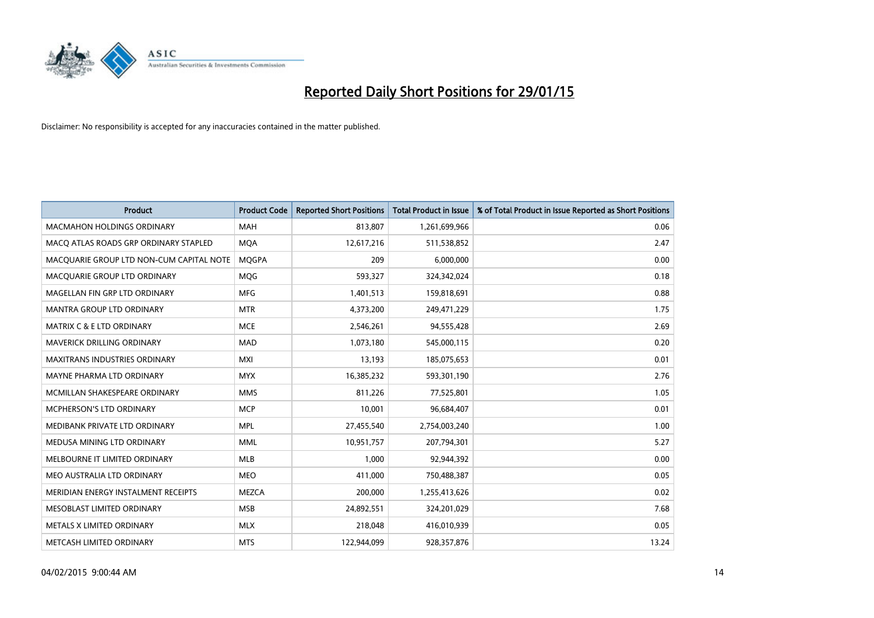

| Product                                  | <b>Product Code</b> | <b>Reported Short Positions</b> | Total Product in Issue | % of Total Product in Issue Reported as Short Positions |
|------------------------------------------|---------------------|---------------------------------|------------------------|---------------------------------------------------------|
| <b>MACMAHON HOLDINGS ORDINARY</b>        | <b>MAH</b>          | 813,807                         | 1,261,699,966          | 0.06                                                    |
| MACO ATLAS ROADS GRP ORDINARY STAPLED    | <b>MQA</b>          | 12,617,216                      | 511,538,852            | 2.47                                                    |
| MACQUARIE GROUP LTD NON-CUM CAPITAL NOTE | <b>MOGPA</b>        | 209                             | 6,000,000              | 0.00                                                    |
| MACQUARIE GROUP LTD ORDINARY             | <b>MOG</b>          | 593,327                         | 324,342,024            | 0.18                                                    |
| MAGELLAN FIN GRP LTD ORDINARY            | <b>MFG</b>          | 1,401,513                       | 159,818,691            | 0.88                                                    |
| <b>MANTRA GROUP LTD ORDINARY</b>         | <b>MTR</b>          | 4,373,200                       | 249,471,229            | 1.75                                                    |
| <b>MATRIX C &amp; E LTD ORDINARY</b>     | <b>MCE</b>          | 2,546,261                       | 94,555,428             | 2.69                                                    |
| <b>MAVERICK DRILLING ORDINARY</b>        | <b>MAD</b>          | 1,073,180                       | 545,000,115            | 0.20                                                    |
| <b>MAXITRANS INDUSTRIES ORDINARY</b>     | <b>MXI</b>          | 13,193                          | 185,075,653            | 0.01                                                    |
| MAYNE PHARMA LTD ORDINARY                | <b>MYX</b>          | 16,385,232                      | 593,301,190            | 2.76                                                    |
| MCMILLAN SHAKESPEARE ORDINARY            | <b>MMS</b>          | 811,226                         | 77,525,801             | 1.05                                                    |
| MCPHERSON'S LTD ORDINARY                 | <b>MCP</b>          | 10,001                          | 96,684,407             | 0.01                                                    |
| MEDIBANK PRIVATE LTD ORDINARY            | <b>MPL</b>          | 27,455,540                      | 2,754,003,240          | 1.00                                                    |
| MEDUSA MINING LTD ORDINARY               | <b>MML</b>          | 10,951,757                      | 207,794,301            | 5.27                                                    |
| MELBOURNE IT LIMITED ORDINARY            | MLB                 | 1,000                           | 92,944,392             | 0.00                                                    |
| MEO AUSTRALIA LTD ORDINARY               | <b>MEO</b>          | 411,000                         | 750,488,387            | 0.05                                                    |
| MERIDIAN ENERGY INSTALMENT RECEIPTS      | <b>MEZCA</b>        | 200,000                         | 1,255,413,626          | 0.02                                                    |
| MESOBLAST LIMITED ORDINARY               | <b>MSB</b>          | 24,892,551                      | 324,201,029            | 7.68                                                    |
| METALS X LIMITED ORDINARY                | <b>MLX</b>          | 218,048                         | 416,010,939            | 0.05                                                    |
| METCASH LIMITED ORDINARY                 | <b>MTS</b>          | 122,944,099                     | 928,357,876            | 13.24                                                   |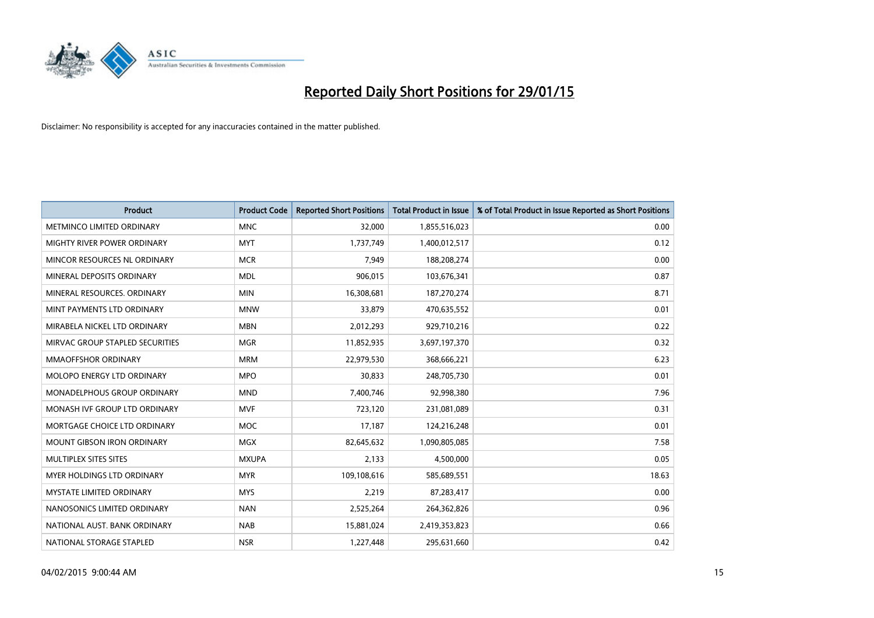

| <b>Product</b>                    | <b>Product Code</b> | <b>Reported Short Positions</b> | Total Product in Issue | % of Total Product in Issue Reported as Short Positions |
|-----------------------------------|---------------------|---------------------------------|------------------------|---------------------------------------------------------|
| METMINCO LIMITED ORDINARY         | <b>MNC</b>          | 32,000                          | 1,855,516,023          | 0.00                                                    |
| MIGHTY RIVER POWER ORDINARY       | <b>MYT</b>          | 1,737,749                       | 1,400,012,517          | 0.12                                                    |
| MINCOR RESOURCES NL ORDINARY      | <b>MCR</b>          | 7.949                           | 188,208,274            | 0.00                                                    |
| MINERAL DEPOSITS ORDINARY         | <b>MDL</b>          | 906,015                         | 103,676,341            | 0.87                                                    |
| MINERAL RESOURCES, ORDINARY       | <b>MIN</b>          | 16,308,681                      | 187,270,274            | 8.71                                                    |
| MINT PAYMENTS LTD ORDINARY        | <b>MNW</b>          | 33,879                          | 470,635,552            | 0.01                                                    |
| MIRABELA NICKEL LTD ORDINARY      | <b>MBN</b>          | 2,012,293                       | 929,710,216            | 0.22                                                    |
| MIRVAC GROUP STAPLED SECURITIES   | <b>MGR</b>          | 11,852,935                      | 3,697,197,370          | 0.32                                                    |
| <b>MMAOFFSHOR ORDINARY</b>        | <b>MRM</b>          | 22,979,530                      | 368,666,221            | 6.23                                                    |
| MOLOPO ENERGY LTD ORDINARY        | <b>MPO</b>          | 30,833                          | 248,705,730            | 0.01                                                    |
| MONADELPHOUS GROUP ORDINARY       | <b>MND</b>          | 7,400,746                       | 92,998,380             | 7.96                                                    |
| MONASH IVF GROUP LTD ORDINARY     | <b>MVF</b>          | 723,120                         | 231,081,089            | 0.31                                                    |
| MORTGAGE CHOICE LTD ORDINARY      | <b>MOC</b>          | 17,187                          | 124,216,248            | 0.01                                                    |
| <b>MOUNT GIBSON IRON ORDINARY</b> | <b>MGX</b>          | 82,645,632                      | 1,090,805,085          | 7.58                                                    |
| MULTIPLEX SITES SITES             | <b>MXUPA</b>        | 2,133                           | 4,500,000              | 0.05                                                    |
| MYER HOLDINGS LTD ORDINARY        | <b>MYR</b>          | 109,108,616                     | 585,689,551            | 18.63                                                   |
| MYSTATE LIMITED ORDINARY          | <b>MYS</b>          | 2,219                           | 87,283,417             | 0.00                                                    |
| NANOSONICS LIMITED ORDINARY       | <b>NAN</b>          | 2,525,264                       | 264,362,826            | 0.96                                                    |
| NATIONAL AUST, BANK ORDINARY      | <b>NAB</b>          | 15,881,024                      | 2,419,353,823          | 0.66                                                    |
| NATIONAL STORAGE STAPLED          | <b>NSR</b>          | 1,227,448                       | 295,631,660            | 0.42                                                    |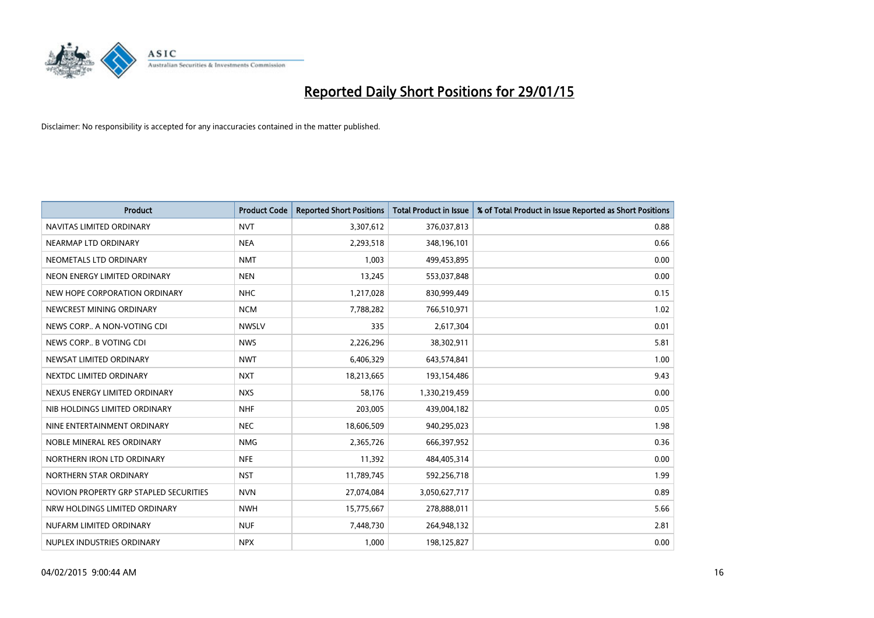

| <b>Product</b>                         | <b>Product Code</b> | <b>Reported Short Positions</b> | Total Product in Issue | % of Total Product in Issue Reported as Short Positions |
|----------------------------------------|---------------------|---------------------------------|------------------------|---------------------------------------------------------|
| NAVITAS LIMITED ORDINARY               | <b>NVT</b>          | 3,307,612                       | 376,037,813            | 0.88                                                    |
| NEARMAP LTD ORDINARY                   | <b>NEA</b>          | 2,293,518                       | 348,196,101            | 0.66                                                    |
| NEOMETALS LTD ORDINARY                 | <b>NMT</b>          | 1.003                           | 499,453,895            | 0.00                                                    |
| NEON ENERGY LIMITED ORDINARY           | <b>NEN</b>          | 13,245                          | 553,037,848            | 0.00                                                    |
| NEW HOPE CORPORATION ORDINARY          | <b>NHC</b>          | 1,217,028                       | 830,999,449            | 0.15                                                    |
| NEWCREST MINING ORDINARY               | <b>NCM</b>          | 7,788,282                       | 766,510,971            | 1.02                                                    |
| NEWS CORP A NON-VOTING CDI             | <b>NWSLV</b>        | 335                             | 2,617,304              | 0.01                                                    |
| NEWS CORP B VOTING CDI                 | <b>NWS</b>          | 2,226,296                       | 38,302,911             | 5.81                                                    |
| NEWSAT LIMITED ORDINARY                | <b>NWT</b>          | 6,406,329                       | 643,574,841            | 1.00                                                    |
| NEXTDC LIMITED ORDINARY                | <b>NXT</b>          | 18,213,665                      | 193,154,486            | 9.43                                                    |
| NEXUS ENERGY LIMITED ORDINARY          | <b>NXS</b>          | 58,176                          | 1,330,219,459          | 0.00                                                    |
| NIB HOLDINGS LIMITED ORDINARY          | <b>NHF</b>          | 203,005                         | 439,004,182            | 0.05                                                    |
| NINE ENTERTAINMENT ORDINARY            | <b>NEC</b>          | 18,606,509                      | 940,295,023            | 1.98                                                    |
| NOBLE MINERAL RES ORDINARY             | <b>NMG</b>          | 2,365,726                       | 666,397,952            | 0.36                                                    |
| NORTHERN IRON LTD ORDINARY             | <b>NFE</b>          | 11,392                          | 484,405,314            | 0.00                                                    |
| NORTHERN STAR ORDINARY                 | <b>NST</b>          | 11,789,745                      | 592,256,718            | 1.99                                                    |
| NOVION PROPERTY GRP STAPLED SECURITIES | <b>NVN</b>          | 27,074,084                      | 3,050,627,717          | 0.89                                                    |
| NRW HOLDINGS LIMITED ORDINARY          | <b>NWH</b>          | 15,775,667                      | 278,888,011            | 5.66                                                    |
| NUFARM LIMITED ORDINARY                | <b>NUF</b>          | 7,448,730                       | 264,948,132            | 2.81                                                    |
| NUPLEX INDUSTRIES ORDINARY             | <b>NPX</b>          | 1,000                           | 198,125,827            | 0.00                                                    |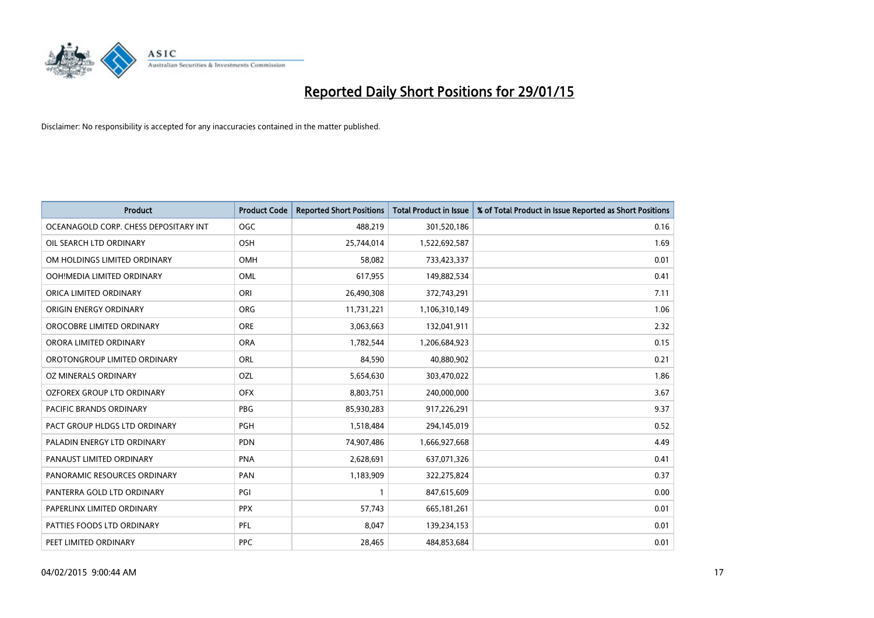

| <b>Product</b>                        | <b>Product Code</b> | <b>Reported Short Positions</b> | <b>Total Product in Issue</b> | % of Total Product in Issue Reported as Short Positions |
|---------------------------------------|---------------------|---------------------------------|-------------------------------|---------------------------------------------------------|
| OCEANAGOLD CORP. CHESS DEPOSITARY INT | <b>OGC</b>          | 488,219                         | 301,520,186                   | 0.16                                                    |
| OIL SEARCH LTD ORDINARY               | OSH                 | 25,744,014                      | 1,522,692,587                 | 1.69                                                    |
| OM HOLDINGS LIMITED ORDINARY          | OMH                 | 58,082                          | 733,423,337                   | 0.01                                                    |
| OOH!MEDIA LIMITED ORDINARY            | OML                 | 617,955                         | 149,882,534                   | 0.41                                                    |
| ORICA LIMITED ORDINARY                | ORI                 | 26,490,308                      | 372,743,291                   | 7.11                                                    |
| ORIGIN ENERGY ORDINARY                | <b>ORG</b>          | 11,731,221                      | 1,106,310,149                 | 1.06                                                    |
| OROCOBRE LIMITED ORDINARY             | <b>ORE</b>          | 3,063,663                       | 132,041,911                   | 2.32                                                    |
| ORORA LIMITED ORDINARY                | <b>ORA</b>          | 1,782,544                       | 1,206,684,923                 | 0.15                                                    |
| OROTONGROUP LIMITED ORDINARY          | <b>ORL</b>          | 84,590                          | 40,880,902                    | 0.21                                                    |
| <b>OZ MINERALS ORDINARY</b>           | <b>OZL</b>          | 5,654,630                       | 303,470,022                   | 1.86                                                    |
| OZFOREX GROUP LTD ORDINARY            | <b>OFX</b>          | 8,803,751                       | 240,000,000                   | 3.67                                                    |
| PACIFIC BRANDS ORDINARY               | <b>PBG</b>          | 85,930,283                      | 917,226,291                   | 9.37                                                    |
| PACT GROUP HLDGS LTD ORDINARY         | <b>PGH</b>          | 1,518,484                       | 294,145,019                   | 0.52                                                    |
| PALADIN ENERGY LTD ORDINARY           | <b>PDN</b>          | 74,907,486                      | 1,666,927,668                 | 4.49                                                    |
| PANAUST LIMITED ORDINARY              | PNA                 | 2,628,691                       | 637,071,326                   | 0.41                                                    |
| PANORAMIC RESOURCES ORDINARY          | PAN                 | 1,183,909                       | 322,275,824                   | 0.37                                                    |
| PANTERRA GOLD LTD ORDINARY            | PGI                 | $\mathbf{1}$                    | 847,615,609                   | 0.00                                                    |
| PAPERLINX LIMITED ORDINARY            | <b>PPX</b>          | 57,743                          | 665, 181, 261                 | 0.01                                                    |
| PATTIES FOODS LTD ORDINARY            | PFL                 | 8,047                           | 139,234,153                   | 0.01                                                    |
| PEET LIMITED ORDINARY                 | <b>PPC</b>          | 28,465                          | 484,853,684                   | 0.01                                                    |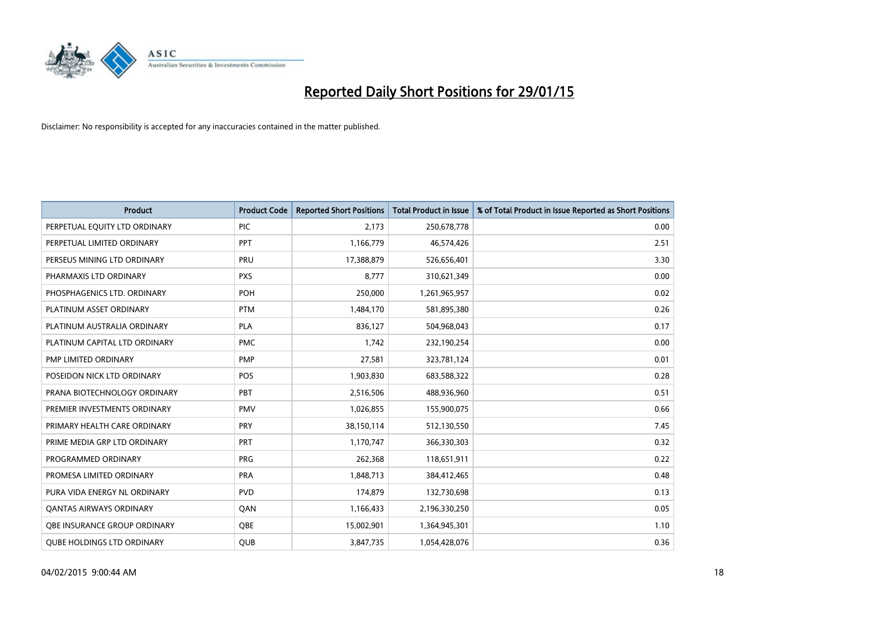

| <b>Product</b>                    | <b>Product Code</b> | <b>Reported Short Positions</b> | <b>Total Product in Issue</b> | % of Total Product in Issue Reported as Short Positions |
|-----------------------------------|---------------------|---------------------------------|-------------------------------|---------------------------------------------------------|
| PERPETUAL EQUITY LTD ORDINARY     | <b>PIC</b>          | 2,173                           | 250,678,778                   | 0.00                                                    |
| PERPETUAL LIMITED ORDINARY        | PPT                 | 1,166,779                       | 46,574,426                    | 2.51                                                    |
| PERSEUS MINING LTD ORDINARY       | PRU                 | 17,388,879                      | 526,656,401                   | 3.30                                                    |
| PHARMAXIS LTD ORDINARY            | <b>PXS</b>          | 8.777                           | 310,621,349                   | 0.00                                                    |
| PHOSPHAGENICS LTD. ORDINARY       | POH                 | 250,000                         | 1,261,965,957                 | 0.02                                                    |
| PLATINUM ASSET ORDINARY           | <b>PTM</b>          | 1,484,170                       | 581,895,380                   | 0.26                                                    |
| PLATINUM AUSTRALIA ORDINARY       | <b>PLA</b>          | 836,127                         | 504,968,043                   | 0.17                                                    |
| PLATINUM CAPITAL LTD ORDINARY     | <b>PMC</b>          | 1,742                           | 232,190,254                   | 0.00                                                    |
| PMP LIMITED ORDINARY              | <b>PMP</b>          | 27,581                          | 323,781,124                   | 0.01                                                    |
| POSEIDON NICK LTD ORDINARY        | POS                 | 1,903,830                       | 683,588,322                   | 0.28                                                    |
| PRANA BIOTECHNOLOGY ORDINARY      | PBT                 | 2,516,506                       | 488,936,960                   | 0.51                                                    |
| PREMIER INVESTMENTS ORDINARY      | <b>PMV</b>          | 1,026,855                       | 155,900,075                   | 0.66                                                    |
| PRIMARY HEALTH CARE ORDINARY      | <b>PRY</b>          | 38,150,114                      | 512,130,550                   | 7.45                                                    |
| PRIME MEDIA GRP LTD ORDINARY      | <b>PRT</b>          | 1,170,747                       | 366,330,303                   | 0.32                                                    |
| PROGRAMMED ORDINARY               | <b>PRG</b>          | 262,368                         | 118,651,911                   | 0.22                                                    |
| PROMESA LIMITED ORDINARY          | <b>PRA</b>          | 1,848,713                       | 384,412,465                   | 0.48                                                    |
| PURA VIDA ENERGY NL ORDINARY      | <b>PVD</b>          | 174,879                         | 132,730,698                   | 0.13                                                    |
| OANTAS AIRWAYS ORDINARY           | QAN                 | 1,166,433                       | 2,196,330,250                 | 0.05                                                    |
| OBE INSURANCE GROUP ORDINARY      | <b>OBE</b>          | 15,002,901                      | 1,364,945,301                 | 1.10                                                    |
| <b>QUBE HOLDINGS LTD ORDINARY</b> | QUB                 | 3,847,735                       | 1,054,428,076                 | 0.36                                                    |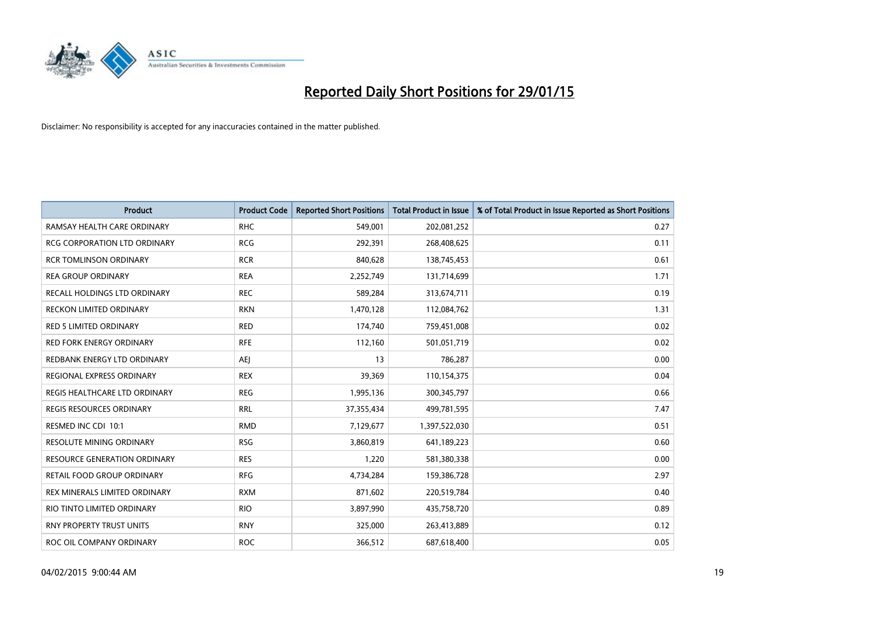

| <b>Product</b>                      | <b>Product Code</b> | <b>Reported Short Positions</b> | Total Product in Issue | % of Total Product in Issue Reported as Short Positions |
|-------------------------------------|---------------------|---------------------------------|------------------------|---------------------------------------------------------|
| RAMSAY HEALTH CARE ORDINARY         | <b>RHC</b>          | 549,001                         | 202,081,252            | 0.27                                                    |
| RCG CORPORATION LTD ORDINARY        | <b>RCG</b>          | 292,391                         | 268,408,625            | 0.11                                                    |
| <b>RCR TOMLINSON ORDINARY</b>       | <b>RCR</b>          | 840,628                         | 138,745,453            | 0.61                                                    |
| <b>REA GROUP ORDINARY</b>           | <b>REA</b>          | 2,252,749                       | 131,714,699            | 1.71                                                    |
| RECALL HOLDINGS LTD ORDINARY        | <b>REC</b>          | 589,284                         | 313,674,711            | 0.19                                                    |
| <b>RECKON LIMITED ORDINARY</b>      | <b>RKN</b>          | 1,470,128                       | 112,084,762            | 1.31                                                    |
| <b>RED 5 LIMITED ORDINARY</b>       | <b>RED</b>          | 174,740                         | 759,451,008            | 0.02                                                    |
| <b>RED FORK ENERGY ORDINARY</b>     | <b>RFE</b>          | 112,160                         | 501,051,719            | 0.02                                                    |
| REDBANK ENERGY LTD ORDINARY         | <b>AEI</b>          | 13                              | 786,287                | 0.00                                                    |
| REGIONAL EXPRESS ORDINARY           | <b>REX</b>          | 39,369                          | 110,154,375            | 0.04                                                    |
| REGIS HEALTHCARE LTD ORDINARY       | <b>REG</b>          | 1,995,136                       | 300,345,797            | 0.66                                                    |
| REGIS RESOURCES ORDINARY            | <b>RRL</b>          | 37,355,434                      | 499,781,595            | 7.47                                                    |
| RESMED INC CDI 10:1                 | <b>RMD</b>          | 7,129,677                       | 1,397,522,030          | 0.51                                                    |
| <b>RESOLUTE MINING ORDINARY</b>     | <b>RSG</b>          | 3,860,819                       | 641,189,223            | 0.60                                                    |
| <b>RESOURCE GENERATION ORDINARY</b> | <b>RES</b>          | 1,220                           | 581,380,338            | 0.00                                                    |
| RETAIL FOOD GROUP ORDINARY          | <b>RFG</b>          | 4,734,284                       | 159,386,728            | 2.97                                                    |
| REX MINERALS LIMITED ORDINARY       | <b>RXM</b>          | 871,602                         | 220,519,784            | 0.40                                                    |
| RIO TINTO LIMITED ORDINARY          | <b>RIO</b>          | 3,897,990                       | 435,758,720            | 0.89                                                    |
| <b>RNY PROPERTY TRUST UNITS</b>     | <b>RNY</b>          | 325,000                         | 263,413,889            | 0.12                                                    |
| ROC OIL COMPANY ORDINARY            | <b>ROC</b>          | 366,512                         | 687,618,400            | 0.05                                                    |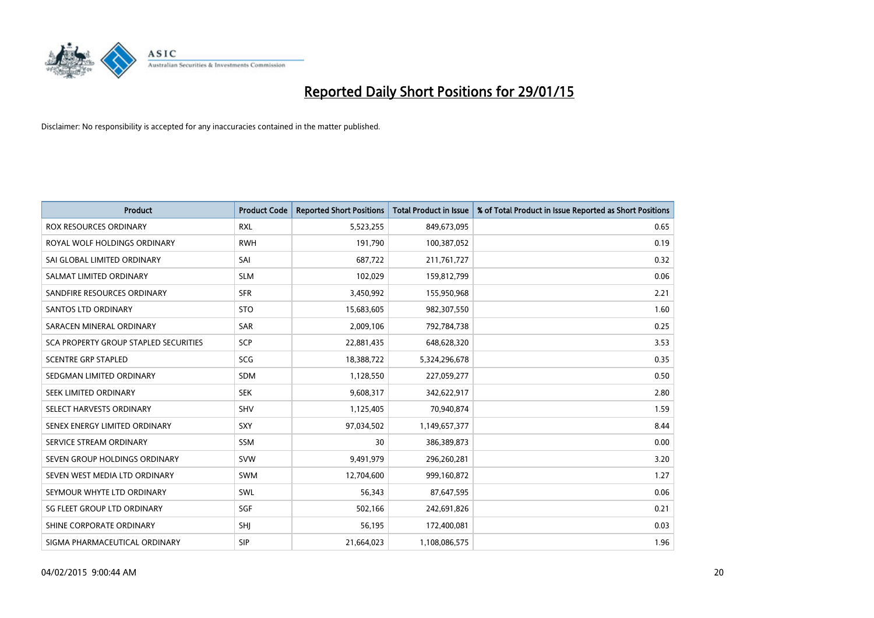

| <b>Product</b>                        | <b>Product Code</b> | <b>Reported Short Positions</b> | <b>Total Product in Issue</b> | % of Total Product in Issue Reported as Short Positions |
|---------------------------------------|---------------------|---------------------------------|-------------------------------|---------------------------------------------------------|
| <b>ROX RESOURCES ORDINARY</b>         | <b>RXL</b>          | 5,523,255                       | 849,673,095                   | 0.65                                                    |
| ROYAL WOLF HOLDINGS ORDINARY          | <b>RWH</b>          | 191,790                         | 100,387,052                   | 0.19                                                    |
| SAI GLOBAL LIMITED ORDINARY           | SAI                 | 687,722                         | 211,761,727                   | 0.32                                                    |
| SALMAT LIMITED ORDINARY               | <b>SLM</b>          | 102,029                         | 159,812,799                   | 0.06                                                    |
| SANDFIRE RESOURCES ORDINARY           | <b>SFR</b>          | 3,450,992                       | 155,950,968                   | 2.21                                                    |
| SANTOS LTD ORDINARY                   | <b>STO</b>          | 15,683,605                      | 982,307,550                   | 1.60                                                    |
| SARACEN MINERAL ORDINARY              | <b>SAR</b>          | 2,009,106                       | 792,784,738                   | 0.25                                                    |
| SCA PROPERTY GROUP STAPLED SECURITIES | SCP                 | 22,881,435                      | 648,628,320                   | 3.53                                                    |
| <b>SCENTRE GRP STAPLED</b>            | SCG                 | 18,388,722                      | 5,324,296,678                 | 0.35                                                    |
| SEDGMAN LIMITED ORDINARY              | SDM                 | 1,128,550                       | 227,059,277                   | 0.50                                                    |
| SEEK LIMITED ORDINARY                 | <b>SEK</b>          | 9,608,317                       | 342,622,917                   | 2.80                                                    |
| SELECT HARVESTS ORDINARY              | <b>SHV</b>          | 1,125,405                       | 70,940,874                    | 1.59                                                    |
| SENEX ENERGY LIMITED ORDINARY         | <b>SXY</b>          | 97,034,502                      | 1,149,657,377                 | 8.44                                                    |
| SERVICE STREAM ORDINARY               | <b>SSM</b>          | 30                              | 386,389,873                   | 0.00                                                    |
| SEVEN GROUP HOLDINGS ORDINARY         | <b>SVW</b>          | 9,491,979                       | 296,260,281                   | 3.20                                                    |
| SEVEN WEST MEDIA LTD ORDINARY         | SWM                 | 12,704,600                      | 999,160,872                   | 1.27                                                    |
| SEYMOUR WHYTE LTD ORDINARY            | SWL                 | 56,343                          | 87,647,595                    | 0.06                                                    |
| SG FLEET GROUP LTD ORDINARY           | SGF                 | 502,166                         | 242,691,826                   | 0.21                                                    |
| SHINE CORPORATE ORDINARY              | SHI                 | 56,195                          | 172,400,081                   | 0.03                                                    |
| SIGMA PHARMACEUTICAL ORDINARY         | <b>SIP</b>          | 21,664,023                      | 1,108,086,575                 | 1.96                                                    |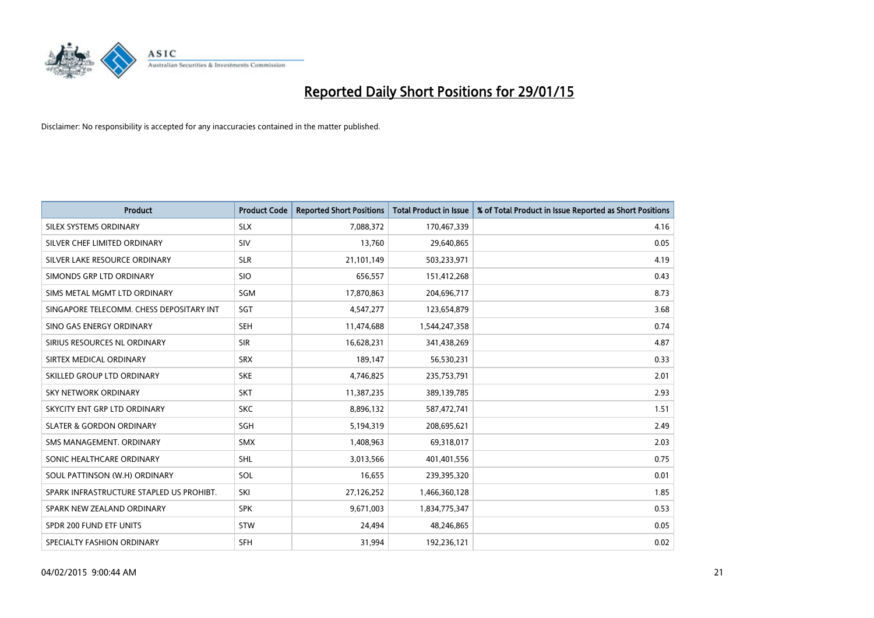

| <b>Product</b>                           | <b>Product Code</b> | <b>Reported Short Positions</b> | <b>Total Product in Issue</b> | % of Total Product in Issue Reported as Short Positions |
|------------------------------------------|---------------------|---------------------------------|-------------------------------|---------------------------------------------------------|
| SILEX SYSTEMS ORDINARY                   | <b>SLX</b>          | 7,088,372                       | 170,467,339                   | 4.16                                                    |
| SILVER CHEF LIMITED ORDINARY             | <b>SIV</b>          | 13,760                          | 29,640,865                    | 0.05                                                    |
| SILVER LAKE RESOURCE ORDINARY            | <b>SLR</b>          | 21,101,149                      | 503,233,971                   | 4.19                                                    |
| SIMONDS GRP LTD ORDINARY                 | <b>SIO</b>          | 656,557                         | 151,412,268                   | 0.43                                                    |
| SIMS METAL MGMT LTD ORDINARY             | SGM                 | 17,870,863                      | 204,696,717                   | 8.73                                                    |
| SINGAPORE TELECOMM. CHESS DEPOSITARY INT | SGT                 | 4,547,277                       | 123,654,879                   | 3.68                                                    |
| SINO GAS ENERGY ORDINARY                 | <b>SEH</b>          | 11,474,688                      | 1,544,247,358                 | 0.74                                                    |
| SIRIUS RESOURCES NL ORDINARY             | <b>SIR</b>          | 16,628,231                      | 341,438,269                   | 4.87                                                    |
| SIRTEX MEDICAL ORDINARY                  | <b>SRX</b>          | 189,147                         | 56,530,231                    | 0.33                                                    |
| SKILLED GROUP LTD ORDINARY               | <b>SKE</b>          | 4,746,825                       | 235,753,791                   | 2.01                                                    |
| SKY NETWORK ORDINARY                     | <b>SKT</b>          | 11,387,235                      | 389,139,785                   | 2.93                                                    |
| SKYCITY ENT GRP LTD ORDINARY             | <b>SKC</b>          | 8,896,132                       | 587,472,741                   | 1.51                                                    |
| <b>SLATER &amp; GORDON ORDINARY</b>      | <b>SGH</b>          | 5,194,319                       | 208,695,621                   | 2.49                                                    |
| SMS MANAGEMENT, ORDINARY                 | <b>SMX</b>          | 1,408,963                       | 69,318,017                    | 2.03                                                    |
| SONIC HEALTHCARE ORDINARY                | <b>SHL</b>          | 3,013,566                       | 401,401,556                   | 0.75                                                    |
| SOUL PATTINSON (W.H) ORDINARY            | SOL                 | 16,655                          | 239,395,320                   | 0.01                                                    |
| SPARK INFRASTRUCTURE STAPLED US PROHIBT. | SKI                 | 27,126,252                      | 1,466,360,128                 | 1.85                                                    |
| SPARK NEW ZEALAND ORDINARY               | <b>SPK</b>          | 9,671,003                       | 1,834,775,347                 | 0.53                                                    |
| SPDR 200 FUND ETF UNITS                  | <b>STW</b>          | 24,494                          | 48,246,865                    | 0.05                                                    |
| SPECIALTY FASHION ORDINARY               | SFH                 | 31,994                          | 192,236,121                   | 0.02                                                    |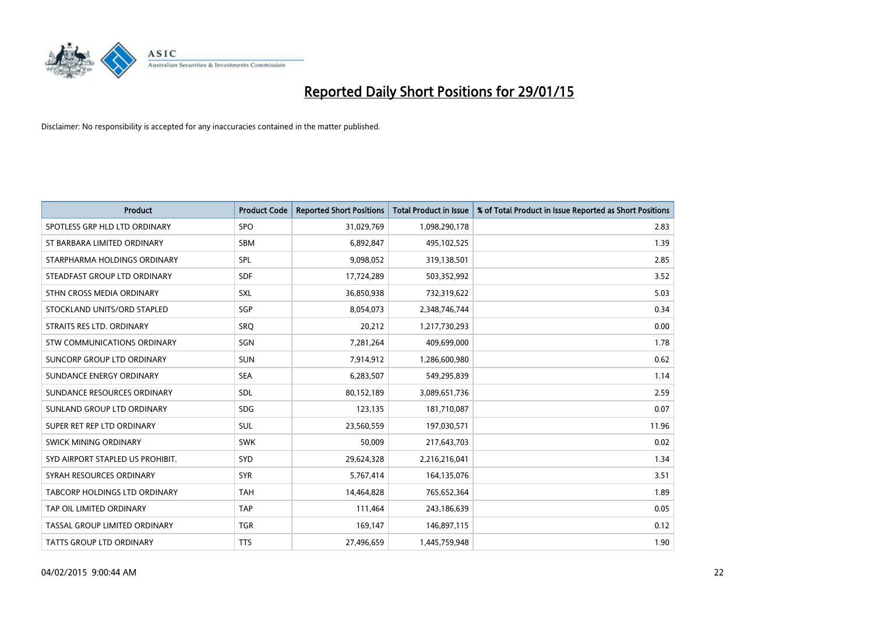

| <b>Product</b>                   | <b>Product Code</b> | <b>Reported Short Positions</b> | <b>Total Product in Issue</b> | % of Total Product in Issue Reported as Short Positions |
|----------------------------------|---------------------|---------------------------------|-------------------------------|---------------------------------------------------------|
| SPOTLESS GRP HLD LTD ORDINARY    | <b>SPO</b>          | 31,029,769                      | 1,098,290,178                 | 2.83                                                    |
| ST BARBARA LIMITED ORDINARY      | <b>SBM</b>          | 6,892,847                       | 495,102,525                   | 1.39                                                    |
| STARPHARMA HOLDINGS ORDINARY     | <b>SPL</b>          | 9,098,052                       | 319,138,501                   | 2.85                                                    |
| STEADFAST GROUP LTD ORDINARY     | <b>SDF</b>          | 17,724,289                      | 503,352,992                   | 3.52                                                    |
| STHN CROSS MEDIA ORDINARY        | SXL                 | 36,850,938                      | 732,319,622                   | 5.03                                                    |
| STOCKLAND UNITS/ORD STAPLED      | SGP                 | 8,054,073                       | 2,348,746,744                 | 0.34                                                    |
| STRAITS RES LTD. ORDINARY        | SRO                 | 20,212                          | 1,217,730,293                 | 0.00                                                    |
| STW COMMUNICATIONS ORDINARY      | SGN                 | 7,281,264                       | 409,699,000                   | 1.78                                                    |
| SUNCORP GROUP LTD ORDINARY       | <b>SUN</b>          | 7,914,912                       | 1,286,600,980                 | 0.62                                                    |
| SUNDANCE ENERGY ORDINARY         | <b>SEA</b>          | 6,283,507                       | 549,295,839                   | 1.14                                                    |
| SUNDANCE RESOURCES ORDINARY      | <b>SDL</b>          | 80,152,189                      | 3,089,651,736                 | 2.59                                                    |
| SUNLAND GROUP LTD ORDINARY       | <b>SDG</b>          | 123,135                         | 181,710,087                   | 0.07                                                    |
| SUPER RET REP LTD ORDINARY       | <b>SUL</b>          | 23,560,559                      | 197,030,571                   | 11.96                                                   |
| SWICK MINING ORDINARY            | <b>SWK</b>          | 50,009                          | 217,643,703                   | 0.02                                                    |
| SYD AIRPORT STAPLED US PROHIBIT. | <b>SYD</b>          | 29,624,328                      | 2,216,216,041                 | 1.34                                                    |
| SYRAH RESOURCES ORDINARY         | <b>SYR</b>          | 5,767,414                       | 164,135,076                   | 3.51                                                    |
| TABCORP HOLDINGS LTD ORDINARY    | <b>TAH</b>          | 14,464,828                      | 765,652,364                   | 1.89                                                    |
| TAP OIL LIMITED ORDINARY         | <b>TAP</b>          | 111,464                         | 243,186,639                   | 0.05                                                    |
| TASSAL GROUP LIMITED ORDINARY    | <b>TGR</b>          | 169,147                         | 146,897,115                   | 0.12                                                    |
| TATTS GROUP LTD ORDINARY         | <b>TTS</b>          | 27,496,659                      | 1,445,759,948                 | 1.90                                                    |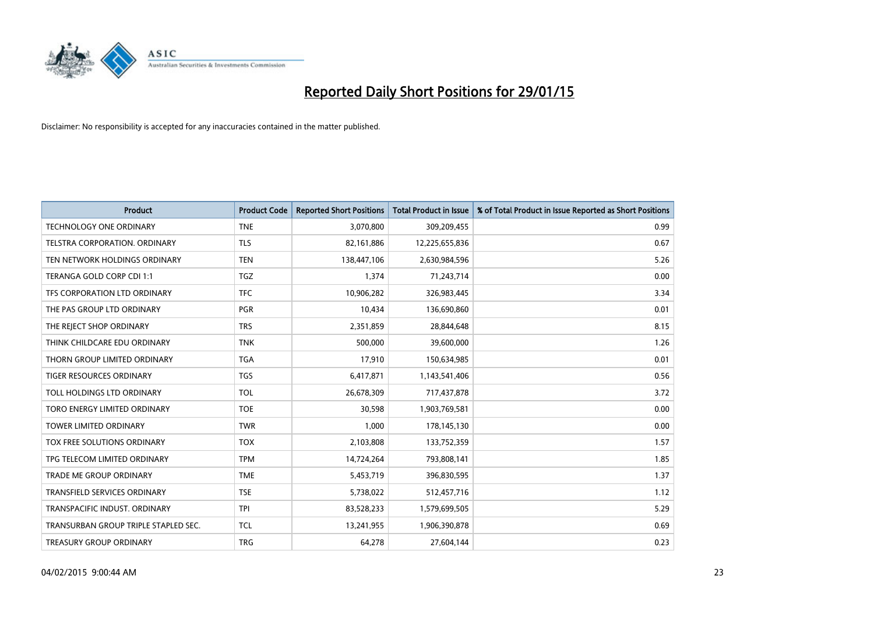

| <b>Product</b>                       | <b>Product Code</b> | <b>Reported Short Positions</b> | <b>Total Product in Issue</b> | % of Total Product in Issue Reported as Short Positions |
|--------------------------------------|---------------------|---------------------------------|-------------------------------|---------------------------------------------------------|
| <b>TECHNOLOGY ONE ORDINARY</b>       | <b>TNE</b>          | 3,070,800                       | 309,209,455                   | 0.99                                                    |
| TELSTRA CORPORATION, ORDINARY        | <b>TLS</b>          | 82,161,886                      | 12,225,655,836                | 0.67                                                    |
| TEN NETWORK HOLDINGS ORDINARY        | <b>TEN</b>          | 138,447,106                     | 2,630,984,596                 | 5.26                                                    |
| TERANGA GOLD CORP CDI 1:1            | <b>TGZ</b>          | 1,374                           | 71,243,714                    | 0.00                                                    |
| TFS CORPORATION LTD ORDINARY         | <b>TFC</b>          | 10,906,282                      | 326,983,445                   | 3.34                                                    |
| THE PAS GROUP LTD ORDINARY           | PGR                 | 10,434                          | 136,690,860                   | 0.01                                                    |
| THE REJECT SHOP ORDINARY             | <b>TRS</b>          | 2,351,859                       | 28,844,648                    | 8.15                                                    |
| THINK CHILDCARE EDU ORDINARY         | <b>TNK</b>          | 500,000                         | 39,600,000                    | 1.26                                                    |
| THORN GROUP LIMITED ORDINARY         | <b>TGA</b>          | 17,910                          | 150,634,985                   | 0.01                                                    |
| TIGER RESOURCES ORDINARY             | <b>TGS</b>          | 6,417,871                       | 1,143,541,406                 | 0.56                                                    |
| TOLL HOLDINGS LTD ORDINARY           | <b>TOL</b>          | 26,678,309                      | 717,437,878                   | 3.72                                                    |
| TORO ENERGY LIMITED ORDINARY         | <b>TOE</b>          | 30,598                          | 1,903,769,581                 | 0.00                                                    |
| <b>TOWER LIMITED ORDINARY</b>        | <b>TWR</b>          | 1,000                           | 178,145,130                   | 0.00                                                    |
| TOX FREE SOLUTIONS ORDINARY          | <b>TOX</b>          | 2,103,808                       | 133,752,359                   | 1.57                                                    |
| TPG TELECOM LIMITED ORDINARY         | <b>TPM</b>          | 14,724,264                      | 793,808,141                   | 1.85                                                    |
| <b>TRADE ME GROUP ORDINARY</b>       | <b>TME</b>          | 5,453,719                       | 396,830,595                   | 1.37                                                    |
| TRANSFIELD SERVICES ORDINARY         | <b>TSE</b>          | 5,738,022                       | 512,457,716                   | 1.12                                                    |
| TRANSPACIFIC INDUST, ORDINARY        | <b>TPI</b>          | 83,528,233                      | 1,579,699,505                 | 5.29                                                    |
| TRANSURBAN GROUP TRIPLE STAPLED SEC. | <b>TCL</b>          | 13,241,955                      | 1,906,390,878                 | 0.69                                                    |
| TREASURY GROUP ORDINARY              | <b>TRG</b>          | 64,278                          | 27,604,144                    | 0.23                                                    |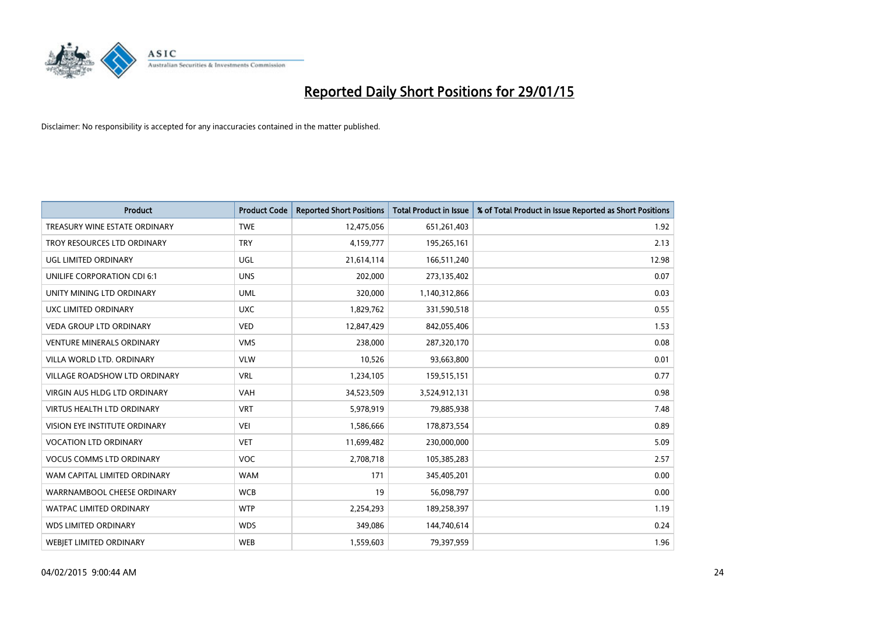

| <b>Product</b>                      | <b>Product Code</b> | <b>Reported Short Positions</b> | <b>Total Product in Issue</b> | % of Total Product in Issue Reported as Short Positions |
|-------------------------------------|---------------------|---------------------------------|-------------------------------|---------------------------------------------------------|
| TREASURY WINE ESTATE ORDINARY       | <b>TWE</b>          | 12,475,056                      | 651,261,403                   | 1.92                                                    |
| TROY RESOURCES LTD ORDINARY         | <b>TRY</b>          | 4,159,777                       | 195,265,161                   | 2.13                                                    |
| UGL LIMITED ORDINARY                | UGL                 | 21,614,114                      | 166,511,240                   | 12.98                                                   |
| UNILIFE CORPORATION CDI 6:1         | <b>UNS</b>          | 202,000                         | 273,135,402                   | 0.07                                                    |
| UNITY MINING LTD ORDINARY           | <b>UML</b>          | 320,000                         | 1,140,312,866                 | 0.03                                                    |
| UXC LIMITED ORDINARY                | <b>UXC</b>          | 1,829,762                       | 331,590,518                   | 0.55                                                    |
| <b>VEDA GROUP LTD ORDINARY</b>      | <b>VED</b>          | 12,847,429                      | 842,055,406                   | 1.53                                                    |
| <b>VENTURE MINERALS ORDINARY</b>    | <b>VMS</b>          | 238,000                         | 287,320,170                   | 0.08                                                    |
| VILLA WORLD LTD, ORDINARY           | <b>VLW</b>          | 10,526                          | 93,663,800                    | 0.01                                                    |
| VILLAGE ROADSHOW LTD ORDINARY       | <b>VRL</b>          | 1,234,105                       | 159,515,151                   | 0.77                                                    |
| <b>VIRGIN AUS HLDG LTD ORDINARY</b> | <b>VAH</b>          | 34,523,509                      | 3,524,912,131                 | 0.98                                                    |
| <b>VIRTUS HEALTH LTD ORDINARY</b>   | <b>VRT</b>          | 5,978,919                       | 79,885,938                    | 7.48                                                    |
| VISION EYE INSTITUTE ORDINARY       | VEI                 | 1,586,666                       | 178,873,554                   | 0.89                                                    |
| <b>VOCATION LTD ORDINARY</b>        | <b>VET</b>          | 11,699,482                      | 230,000,000                   | 5.09                                                    |
| <b>VOCUS COMMS LTD ORDINARY</b>     | <b>VOC</b>          | 2,708,718                       | 105,385,283                   | 2.57                                                    |
| WAM CAPITAL LIMITED ORDINARY        | <b>WAM</b>          | 171                             | 345,405,201                   | 0.00                                                    |
| WARRNAMBOOL CHEESE ORDINARY         | <b>WCB</b>          | 19                              | 56,098,797                    | 0.00                                                    |
| WATPAC LIMITED ORDINARY             | <b>WTP</b>          | 2,254,293                       | 189,258,397                   | 1.19                                                    |
| <b>WDS LIMITED ORDINARY</b>         | <b>WDS</b>          | 349,086                         | 144,740,614                   | 0.24                                                    |
| <b>WEBJET LIMITED ORDINARY</b>      | <b>WEB</b>          | 1,559,603                       | 79,397,959                    | 1.96                                                    |